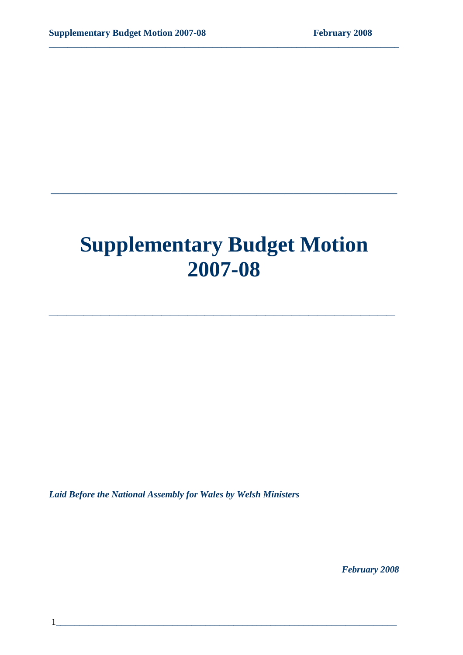# **Supplementary Budget Motion 2007-08**

**\_\_\_\_\_\_\_\_\_\_\_\_\_\_\_\_\_\_\_\_\_\_\_\_\_\_\_\_\_\_\_\_\_\_\_\_\_\_\_\_** 

**\_\_\_\_\_\_\_\_\_\_\_\_\_\_\_\_\_\_\_\_\_\_\_\_\_\_\_\_\_\_\_\_\_\_\_\_\_\_\_\_** 

**\_\_\_\_\_\_\_\_\_\_\_\_\_\_\_\_\_\_\_\_\_\_\_\_\_\_\_\_\_\_\_\_\_\_\_\_\_\_\_\_\_\_\_\_\_\_\_\_\_\_\_\_\_\_\_\_\_\_\_\_\_\_\_\_\_\_\_\_\_\_\_\_\_\_\_** 

*Laid Before the National Assembly for Wales by Welsh Ministers* 

*February 2008*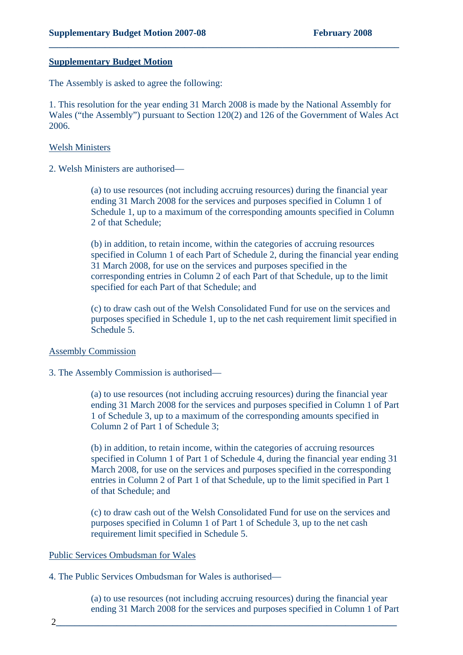#### **Supplementary Budget Motion**

The Assembly is asked to agree the following:

1. This resolution for the year ending 31 March 2008 is made by the National Assembly for Wales ("the Assembly") pursuant to Section 120(2) and 126 of the Government of Wales Act 2006.

**\_\_\_\_\_\_\_\_\_\_\_\_\_\_\_\_\_\_\_\_\_\_\_\_\_\_\_\_\_\_\_\_\_\_\_\_\_\_\_\_\_\_\_\_\_\_\_\_\_\_\_\_\_\_\_\_\_\_\_\_\_\_\_\_\_\_\_\_\_\_\_\_\_\_\_** 

#### Welsh Ministers

2. Welsh Ministers are authorised—

(a) to use resources (not including accruing resources) during the financial year ending 31 March 2008 for the services and purposes specified in Column 1 of Schedule 1, up to a maximum of the corresponding amounts specified in Column 2 of that Schedule;

(b) in addition, to retain income, within the categories of accruing resources specified in Column 1 of each Part of Schedule 2, during the financial year ending 31 March 2008, for use on the services and purposes specified in the corresponding entries in Column 2 of each Part of that Schedule, up to the limit specified for each Part of that Schedule; and

(c) to draw cash out of the Welsh Consolidated Fund for use on the services and purposes specified in Schedule 1, up to the net cash requirement limit specified in Schedule 5.

#### Assembly Commission

#### 3. The Assembly Commission is authorised—

(a) to use resources (not including accruing resources) during the financial year ending 31 March 2008 for the services and purposes specified in Column 1 of Part 1 of Schedule 3, up to a maximum of the corresponding amounts specified in Column 2 of Part 1 of Schedule 3;

(b) in addition, to retain income, within the categories of accruing resources specified in Column 1 of Part 1 of Schedule 4, during the financial year ending 31 March 2008, for use on the services and purposes specified in the corresponding entries in Column 2 of Part 1 of that Schedule, up to the limit specified in Part 1 of that Schedule; and

(c) to draw cash out of the Welsh Consolidated Fund for use on the services and purposes specified in Column 1 of Part 1 of Schedule 3, up to the net cash requirement limit specified in Schedule 5.

#### Public Services Ombudsman for Wales

4. The Public Services Ombudsman for Wales is authorised—

(a) to use resources (not including accruing resources) during the financial year ending 31 March 2008 for the services and purposes specified in Column 1 of Part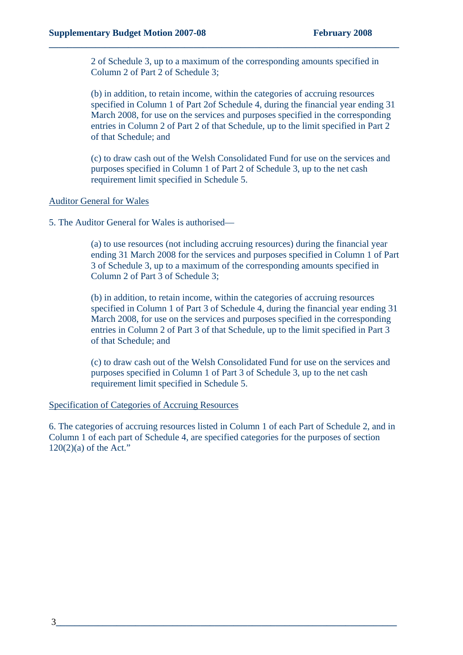2 of Schedule 3, up to a maximum of the corresponding amounts specified in Column 2 of Part 2 of Schedule 3;

**\_\_\_\_\_\_\_\_\_\_\_\_\_\_\_\_\_\_\_\_\_\_\_\_\_\_\_\_\_\_\_\_\_\_\_\_\_\_\_\_\_\_\_\_\_\_\_\_\_\_\_\_\_\_\_\_\_\_\_\_\_\_\_\_\_\_\_\_\_\_\_\_\_\_\_** 

(b) in addition, to retain income, within the categories of accruing resources specified in Column 1 of Part 2of Schedule 4, during the financial year ending 31 March 2008, for use on the services and purposes specified in the corresponding entries in Column 2 of Part 2 of that Schedule, up to the limit specified in Part 2 of that Schedule; and

(c) to draw cash out of the Welsh Consolidated Fund for use on the services and purposes specified in Column 1 of Part 2 of Schedule 3, up to the net cash requirement limit specified in Schedule 5.

#### Auditor General for Wales

5. The Auditor General for Wales is authorised—

(a) to use resources (not including accruing resources) during the financial year ending 31 March 2008 for the services and purposes specified in Column 1 of Part 3 of Schedule 3, up to a maximum of the corresponding amounts specified in Column 2 of Part 3 of Schedule 3;

(b) in addition, to retain income, within the categories of accruing resources specified in Column 1 of Part 3 of Schedule 4, during the financial year ending 31 March 2008, for use on the services and purposes specified in the corresponding entries in Column 2 of Part 3 of that Schedule, up to the limit specified in Part 3 of that Schedule; and

(c) to draw cash out of the Welsh Consolidated Fund for use on the services and purposes specified in Column 1 of Part 3 of Schedule 3, up to the net cash requirement limit specified in Schedule 5.

#### Specification of Categories of Accruing Resources

6. The categories of accruing resources listed in Column 1 of each Part of Schedule 2, and in Column 1 of each part of Schedule 4, are specified categories for the purposes of section 120(2)(a) of the Act."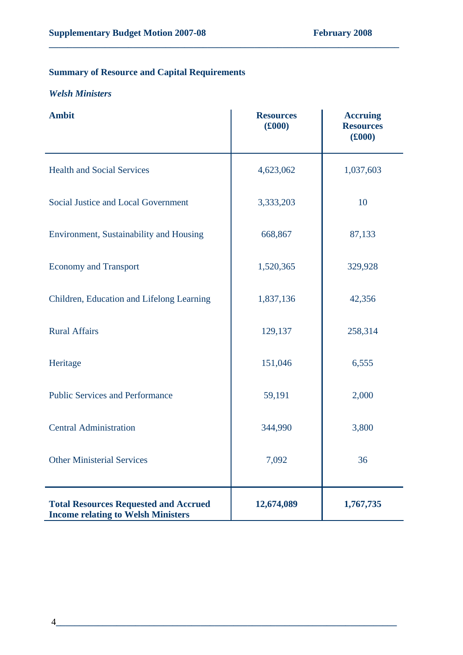## **Summary of Resource and Capital Requirements**

### *Welsh Ministers*

| <b>Ambit</b>                                                                              | <b>Resources</b><br>(6000) | <b>Accruing</b><br><b>Resources</b><br>(6000) |
|-------------------------------------------------------------------------------------------|----------------------------|-----------------------------------------------|
| <b>Health and Social Services</b>                                                         | 4,623,062                  | 1,037,603                                     |
| Social Justice and Local Government                                                       | 3,333,203                  | 10                                            |
| Environment, Sustainability and Housing                                                   | 668,867                    | 87,133                                        |
| <b>Economy and Transport</b>                                                              | 1,520,365                  | 329,928                                       |
| Children, Education and Lifelong Learning                                                 | 1,837,136                  | 42,356                                        |
| <b>Rural Affairs</b>                                                                      | 129,137                    | 258,314                                       |
| Heritage                                                                                  | 151,046                    | 6,555                                         |
| <b>Public Services and Performance</b>                                                    | 59,191                     | 2,000                                         |
| <b>Central Administration</b>                                                             | 344,990                    | 3,800                                         |
| <b>Other Ministerial Services</b>                                                         | 7,092                      | 36                                            |
| <b>Total Resources Requested and Accrued</b><br><b>Income relating to Welsh Ministers</b> | 12,674,089                 | 1,767,735                                     |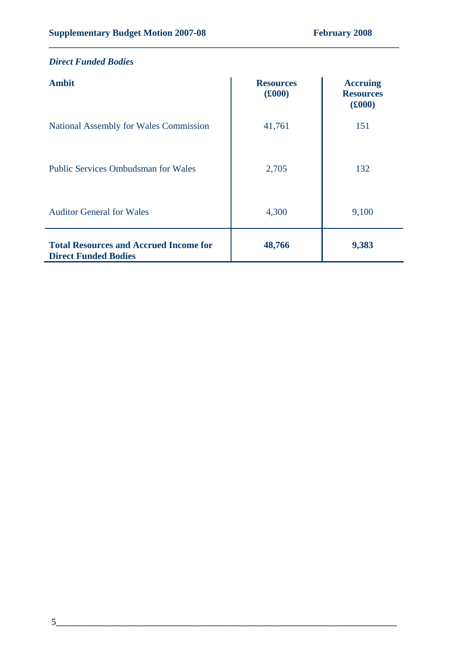| <b>Direct Funded Bodies</b>                                                  |                            |                                               |
|------------------------------------------------------------------------------|----------------------------|-----------------------------------------------|
| <b>Ambit</b>                                                                 | <b>Resources</b><br>(f000) | <b>Accruing</b><br><b>Resources</b><br>(£000) |
| National Assembly for Wales Commission                                       | 41,761                     | 151                                           |
| <b>Public Services Ombudsman for Wales</b>                                   | 2,705                      | 132                                           |
| <b>Auditor General for Wales</b>                                             | 4,300                      | 9,100                                         |
| <b>Total Resources and Accrued Income for</b><br><b>Direct Funded Bodies</b> | 48,766                     | 9,383                                         |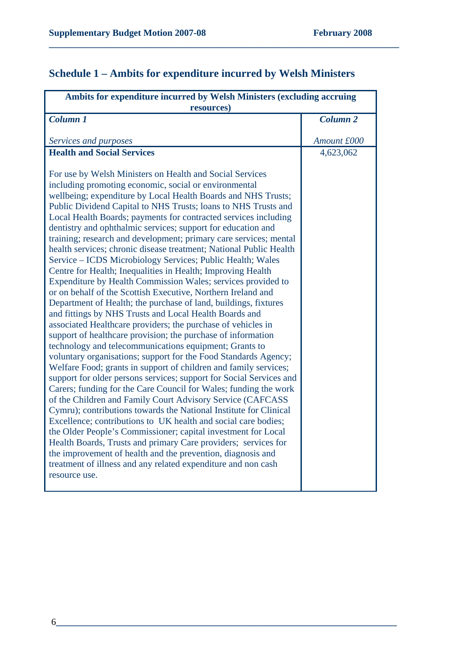# **Schedule 1 – Ambits for expenditure incurred by Welsh Ministers**

| Ambits for expenditure incurred by Welsh Ministers (excluding accruing                                                              |                 |  |
|-------------------------------------------------------------------------------------------------------------------------------------|-----------------|--|
| resources)                                                                                                                          |                 |  |
| <b>Column 1</b>                                                                                                                     | <b>Column 2</b> |  |
|                                                                                                                                     |                 |  |
| Services and purposes                                                                                                               | Amount £000     |  |
| <b>Health and Social Services</b>                                                                                                   | 4,623,062       |  |
| For use by Welsh Ministers on Health and Social Services                                                                            |                 |  |
| including promoting economic, social or environmental                                                                               |                 |  |
| wellbeing; expenditure by Local Health Boards and NHS Trusts;                                                                       |                 |  |
| Public Dividend Capital to NHS Trusts; loans to NHS Trusts and                                                                      |                 |  |
| Local Health Boards; payments for contracted services including                                                                     |                 |  |
| dentistry and ophthalmic services; support for education and                                                                        |                 |  |
| training; research and development; primary care services; mental                                                                   |                 |  |
| health services; chronic disease treatment; National Public Health                                                                  |                 |  |
| Service – ICDS Microbiology Services; Public Health; Wales                                                                          |                 |  |
| Centre for Health; Inequalities in Health; Improving Health                                                                         |                 |  |
| Expenditure by Health Commission Wales; services provided to                                                                        |                 |  |
| or on behalf of the Scottish Executive, Northern Ireland and                                                                        |                 |  |
| Department of Health; the purchase of land, buildings, fixtures                                                                     |                 |  |
| and fittings by NHS Trusts and Local Health Boards and                                                                              |                 |  |
| associated Healthcare providers; the purchase of vehicles in                                                                        |                 |  |
| support of healthcare provision; the purchase of information                                                                        |                 |  |
| technology and telecommunications equipment; Grants to                                                                              |                 |  |
| voluntary organisations; support for the Food Standards Agency;                                                                     |                 |  |
| Welfare Food; grants in support of children and family services;                                                                    |                 |  |
| support for older persons services; support for Social Services and                                                                 |                 |  |
| Carers; funding for the Care Council for Wales; funding the work                                                                    |                 |  |
| of the Children and Family Court Advisory Service (CAFCASS                                                                          |                 |  |
| Cymru); contributions towards the National Institute for Clinical<br>Excellence; contributions to UK health and social care bodies; |                 |  |
| the Older People's Commissioner; capital investment for Local                                                                       |                 |  |
| Health Boards, Trusts and primary Care providers; services for                                                                      |                 |  |
| the improvement of health and the prevention, diagnosis and                                                                         |                 |  |
| treatment of illness and any related expenditure and non cash                                                                       |                 |  |
| resource use.                                                                                                                       |                 |  |
|                                                                                                                                     |                 |  |
|                                                                                                                                     |                 |  |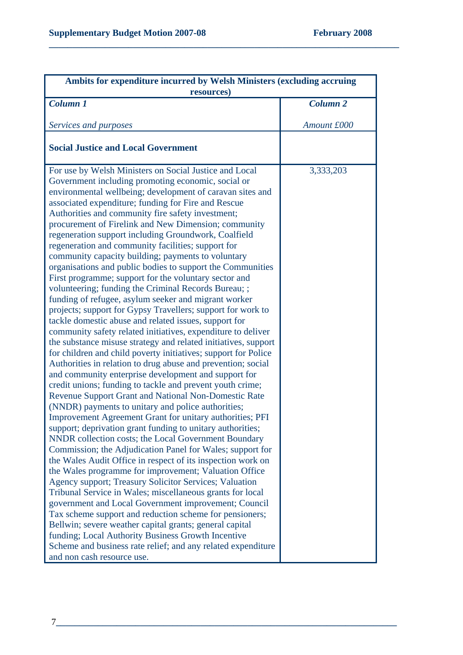| Ambits for expenditure incurred by Welsh Ministers (excluding accruing                                                                                                                                                                                                                                                                                                                                                                                                                                                                                                                                                                                                                                                                                                                                                                                                                                                                                                                                                                                                                                                                                                                                                                                                                                                                                                                                                                                                                                                                                                                                                                                                                                                                                                                                                                                                                                                                                                                                                                                                                                                                                                                                                  |                 |
|-------------------------------------------------------------------------------------------------------------------------------------------------------------------------------------------------------------------------------------------------------------------------------------------------------------------------------------------------------------------------------------------------------------------------------------------------------------------------------------------------------------------------------------------------------------------------------------------------------------------------------------------------------------------------------------------------------------------------------------------------------------------------------------------------------------------------------------------------------------------------------------------------------------------------------------------------------------------------------------------------------------------------------------------------------------------------------------------------------------------------------------------------------------------------------------------------------------------------------------------------------------------------------------------------------------------------------------------------------------------------------------------------------------------------------------------------------------------------------------------------------------------------------------------------------------------------------------------------------------------------------------------------------------------------------------------------------------------------------------------------------------------------------------------------------------------------------------------------------------------------------------------------------------------------------------------------------------------------------------------------------------------------------------------------------------------------------------------------------------------------------------------------------------------------------------------------------------------------|-----------------|
| resources)                                                                                                                                                                                                                                                                                                                                                                                                                                                                                                                                                                                                                                                                                                                                                                                                                                                                                                                                                                                                                                                                                                                                                                                                                                                                                                                                                                                                                                                                                                                                                                                                                                                                                                                                                                                                                                                                                                                                                                                                                                                                                                                                                                                                              |                 |
| <b>Column 1</b>                                                                                                                                                                                                                                                                                                                                                                                                                                                                                                                                                                                                                                                                                                                                                                                                                                                                                                                                                                                                                                                                                                                                                                                                                                                                                                                                                                                                                                                                                                                                                                                                                                                                                                                                                                                                                                                                                                                                                                                                                                                                                                                                                                                                         | <b>Column 2</b> |
| Services and purposes                                                                                                                                                                                                                                                                                                                                                                                                                                                                                                                                                                                                                                                                                                                                                                                                                                                                                                                                                                                                                                                                                                                                                                                                                                                                                                                                                                                                                                                                                                                                                                                                                                                                                                                                                                                                                                                                                                                                                                                                                                                                                                                                                                                                   | Amount £000     |
| <b>Social Justice and Local Government</b>                                                                                                                                                                                                                                                                                                                                                                                                                                                                                                                                                                                                                                                                                                                                                                                                                                                                                                                                                                                                                                                                                                                                                                                                                                                                                                                                                                                                                                                                                                                                                                                                                                                                                                                                                                                                                                                                                                                                                                                                                                                                                                                                                                              |                 |
| For use by Welsh Ministers on Social Justice and Local<br>Government including promoting economic, social or<br>environmental wellbeing; development of caravan sites and<br>associated expenditure; funding for Fire and Rescue<br>Authorities and community fire safety investment;<br>procurement of Firelink and New Dimension; community<br>regeneration support including Groundwork, Coalfield<br>regeneration and community facilities; support for<br>community capacity building; payments to voluntary<br>organisations and public bodies to support the Communities<br>First programme; support for the voluntary sector and<br>volunteering; funding the Criminal Records Bureau; ;<br>funding of refugee, asylum seeker and migrant worker<br>projects; support for Gypsy Travellers; support for work to<br>tackle domestic abuse and related issues, support for<br>community safety related initiatives, expenditure to deliver<br>the substance misuse strategy and related initiatives, support<br>for children and child poverty initiatives; support for Police<br>Authorities in relation to drug abuse and prevention; social<br>and community enterprise development and support for<br>credit unions; funding to tackle and prevent youth crime;<br>Revenue Support Grant and National Non-Domestic Rate<br>(NNDR) payments to unitary and police authorities;<br>Improvement Agreement Grant for unitary authorities; PFI<br>support; deprivation grant funding to unitary authorities;<br>NNDR collection costs; the Local Government Boundary<br>Commission; the Adjudication Panel for Wales; support for<br>the Wales Audit Office in respect of its inspection work on<br>the Wales programme for improvement; Valuation Office<br>Agency support; Treasury Solicitor Services; Valuation<br>Tribunal Service in Wales; miscellaneous grants for local<br>government and Local Government improvement; Council<br>Tax scheme support and reduction scheme for pensioners;<br>Bellwin; severe weather capital grants; general capital<br>funding; Local Authority Business Growth Incentive<br>Scheme and business rate relief; and any related expenditure<br>and non cash resource use. | 3,333,203       |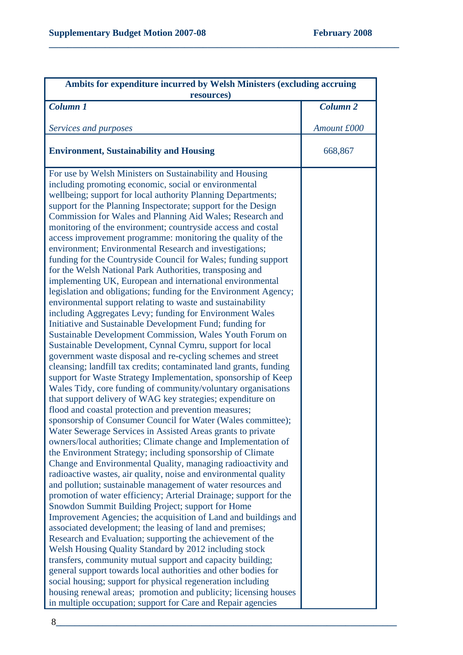| Ambits for expenditure incurred by Welsh Ministers (excluding accruing<br>resources)                                                                                                                                                                                                                                                                                                                                                                                                                                                                                                                                                                                                                                                                                                                                                                                                                                                                                                                                                                                                                                                                                                                                                                                                                                                                                                                                                                                                                                                                                                                                                                                                                                                                                                                                                                                                                                                                                                                                                                                                                                                                                                                                                                                                                                                                                                                                                                                                                                                                                                                                                                                           |                 |  |
|--------------------------------------------------------------------------------------------------------------------------------------------------------------------------------------------------------------------------------------------------------------------------------------------------------------------------------------------------------------------------------------------------------------------------------------------------------------------------------------------------------------------------------------------------------------------------------------------------------------------------------------------------------------------------------------------------------------------------------------------------------------------------------------------------------------------------------------------------------------------------------------------------------------------------------------------------------------------------------------------------------------------------------------------------------------------------------------------------------------------------------------------------------------------------------------------------------------------------------------------------------------------------------------------------------------------------------------------------------------------------------------------------------------------------------------------------------------------------------------------------------------------------------------------------------------------------------------------------------------------------------------------------------------------------------------------------------------------------------------------------------------------------------------------------------------------------------------------------------------------------------------------------------------------------------------------------------------------------------------------------------------------------------------------------------------------------------------------------------------------------------------------------------------------------------------------------------------------------------------------------------------------------------------------------------------------------------------------------------------------------------------------------------------------------------------------------------------------------------------------------------------------------------------------------------------------------------------------------------------------------------------------------------------------------------|-----------------|--|
| <b>Column 1</b>                                                                                                                                                                                                                                                                                                                                                                                                                                                                                                                                                                                                                                                                                                                                                                                                                                                                                                                                                                                                                                                                                                                                                                                                                                                                                                                                                                                                                                                                                                                                                                                                                                                                                                                                                                                                                                                                                                                                                                                                                                                                                                                                                                                                                                                                                                                                                                                                                                                                                                                                                                                                                                                                | <b>Column 2</b> |  |
|                                                                                                                                                                                                                                                                                                                                                                                                                                                                                                                                                                                                                                                                                                                                                                                                                                                                                                                                                                                                                                                                                                                                                                                                                                                                                                                                                                                                                                                                                                                                                                                                                                                                                                                                                                                                                                                                                                                                                                                                                                                                                                                                                                                                                                                                                                                                                                                                                                                                                                                                                                                                                                                                                |                 |  |
| Services and purposes                                                                                                                                                                                                                                                                                                                                                                                                                                                                                                                                                                                                                                                                                                                                                                                                                                                                                                                                                                                                                                                                                                                                                                                                                                                                                                                                                                                                                                                                                                                                                                                                                                                                                                                                                                                                                                                                                                                                                                                                                                                                                                                                                                                                                                                                                                                                                                                                                                                                                                                                                                                                                                                          | Amount £000     |  |
| <b>Environment, Sustainability and Housing</b>                                                                                                                                                                                                                                                                                                                                                                                                                                                                                                                                                                                                                                                                                                                                                                                                                                                                                                                                                                                                                                                                                                                                                                                                                                                                                                                                                                                                                                                                                                                                                                                                                                                                                                                                                                                                                                                                                                                                                                                                                                                                                                                                                                                                                                                                                                                                                                                                                                                                                                                                                                                                                                 | 668,867         |  |
| For use by Welsh Ministers on Sustainability and Housing<br>including promoting economic, social or environmental<br>wellbeing; support for local authority Planning Departments;<br>support for the Planning Inspectorate; support for the Design<br>Commission for Wales and Planning Aid Wales; Research and<br>monitoring of the environment; countryside access and costal<br>access improvement programme: monitoring the quality of the<br>environment; Environmental Research and investigations;<br>funding for the Countryside Council for Wales; funding support<br>for the Welsh National Park Authorities, transposing and<br>implementing UK, European and international environmental<br>legislation and obligations; funding for the Environment Agency;<br>environmental support relating to waste and sustainability<br>including Aggregates Levy; funding for Environment Wales<br>Initiative and Sustainable Development Fund; funding for<br>Sustainable Development Commission, Wales Youth Forum on<br>Sustainable Development, Cynnal Cymru, support for local<br>government waste disposal and re-cycling schemes and street<br>cleansing; landfill tax credits; contaminated land grants, funding<br>support for Waste Strategy Implementation, sponsorship of Keep<br>Wales Tidy, core funding of community/voluntary organisations<br>that support delivery of WAG key strategies; expenditure on<br>flood and coastal protection and prevention measures;<br>sponsorship of Consumer Council for Water (Wales committee);<br>Water Sewerage Services in Assisted Areas grants to private<br>owners/local authorities; Climate change and Implementation of<br>the Environment Strategy; including sponsorship of Climate<br>Change and Environmental Quality, managing radioactivity and<br>radioactive wastes, air quality, noise and environmental quality<br>and pollution; sustainable management of water resources and<br>promotion of water efficiency; Arterial Drainage; support for the<br>Snowdon Summit Building Project; support for Home<br>Improvement Agencies; the acquisition of Land and buildings and<br>associated development; the leasing of land and premises;<br>Research and Evaluation; supporting the achievement of the<br>Welsh Housing Quality Standard by 2012 including stock<br>transfers, community mutual support and capacity building;<br>general support towards local authorities and other bodies for<br>social housing; support for physical regeneration including<br>housing renewal areas; promotion and publicity; licensing houses<br>in multiple occupation; support for Care and Repair agencies |                 |  |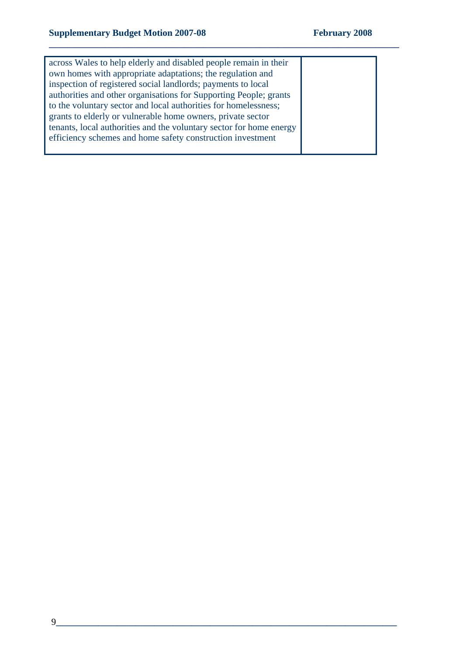| across Wales to help elderly and disabled people remain in their    |  |
|---------------------------------------------------------------------|--|
| own homes with appropriate adaptations; the regulation and          |  |
| inspection of registered social landlords; payments to local        |  |
| authorities and other organisations for Supporting People; grants   |  |
| to the voluntary sector and local authorities for homelessness;     |  |
| grants to elderly or vulnerable home owners, private sector         |  |
| tenants, local authorities and the voluntary sector for home energy |  |
| efficiency schemes and home safety construction investment          |  |
|                                                                     |  |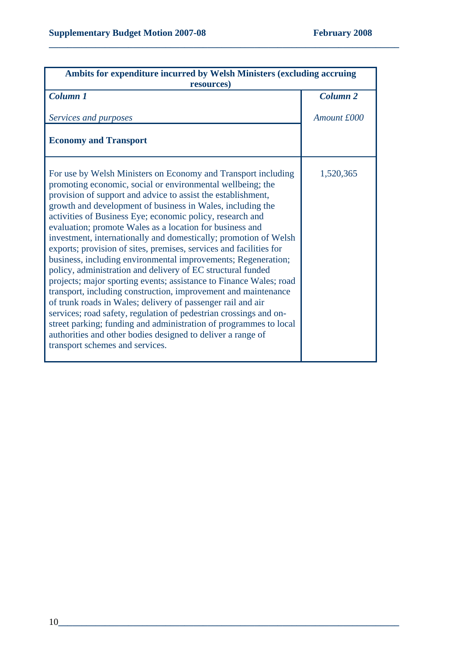| Ambits for expenditure incurred by Welsh Ministers (excluding accruing<br>resources)                                                                                                                                                                                                                                                                                                                                                                                                                                                                                                                                                                                                                                                                                                                                                                                                                                                                                                                                                                                                                            |                 |
|-----------------------------------------------------------------------------------------------------------------------------------------------------------------------------------------------------------------------------------------------------------------------------------------------------------------------------------------------------------------------------------------------------------------------------------------------------------------------------------------------------------------------------------------------------------------------------------------------------------------------------------------------------------------------------------------------------------------------------------------------------------------------------------------------------------------------------------------------------------------------------------------------------------------------------------------------------------------------------------------------------------------------------------------------------------------------------------------------------------------|-----------------|
| Column 1                                                                                                                                                                                                                                                                                                                                                                                                                                                                                                                                                                                                                                                                                                                                                                                                                                                                                                                                                                                                                                                                                                        | <b>Column 2</b> |
| Services and purposes                                                                                                                                                                                                                                                                                                                                                                                                                                                                                                                                                                                                                                                                                                                                                                                                                                                                                                                                                                                                                                                                                           | Amount £000     |
| <b>Economy and Transport</b>                                                                                                                                                                                                                                                                                                                                                                                                                                                                                                                                                                                                                                                                                                                                                                                                                                                                                                                                                                                                                                                                                    |                 |
| For use by Welsh Ministers on Economy and Transport including<br>promoting economic, social or environmental wellbeing; the<br>provision of support and advice to assist the establishment,<br>growth and development of business in Wales, including the<br>activities of Business Eye; economic policy, research and<br>evaluation; promote Wales as a location for business and<br>investment, internationally and domestically; promotion of Welsh<br>exports; provision of sites, premises, services and facilities for<br>business, including environmental improvements; Regeneration;<br>policy, administration and delivery of EC structural funded<br>projects; major sporting events; assistance to Finance Wales; road<br>transport, including construction, improvement and maintenance<br>of trunk roads in Wales; delivery of passenger rail and air<br>services; road safety, regulation of pedestrian crossings and on-<br>street parking; funding and administration of programmes to local<br>authorities and other bodies designed to deliver a range of<br>transport schemes and services. | 1,520,365       |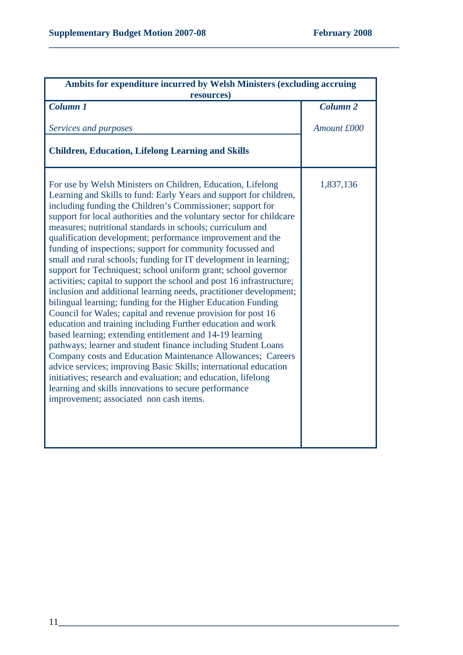| Ambits for expenditure incurred by Welsh Ministers (excluding accruing                                                                                                                                                                                                                                                                                                                                                                                                                                                                                                                                                                                                                                                                                                                                                                                                                                                                                                                                                                                                                                                                                                                                                                                                                                                                                                                     |                     |
|--------------------------------------------------------------------------------------------------------------------------------------------------------------------------------------------------------------------------------------------------------------------------------------------------------------------------------------------------------------------------------------------------------------------------------------------------------------------------------------------------------------------------------------------------------------------------------------------------------------------------------------------------------------------------------------------------------------------------------------------------------------------------------------------------------------------------------------------------------------------------------------------------------------------------------------------------------------------------------------------------------------------------------------------------------------------------------------------------------------------------------------------------------------------------------------------------------------------------------------------------------------------------------------------------------------------------------------------------------------------------------------------|---------------------|
| resources)                                                                                                                                                                                                                                                                                                                                                                                                                                                                                                                                                                                                                                                                                                                                                                                                                                                                                                                                                                                                                                                                                                                                                                                                                                                                                                                                                                                 |                     |
| Column 1                                                                                                                                                                                                                                                                                                                                                                                                                                                                                                                                                                                                                                                                                                                                                                                                                                                                                                                                                                                                                                                                                                                                                                                                                                                                                                                                                                                   | Column <sub>2</sub> |
| Services and purposes                                                                                                                                                                                                                                                                                                                                                                                                                                                                                                                                                                                                                                                                                                                                                                                                                                                                                                                                                                                                                                                                                                                                                                                                                                                                                                                                                                      | Amount £000         |
| <b>Children, Education, Lifelong Learning and Skills</b>                                                                                                                                                                                                                                                                                                                                                                                                                                                                                                                                                                                                                                                                                                                                                                                                                                                                                                                                                                                                                                                                                                                                                                                                                                                                                                                                   |                     |
| For use by Welsh Ministers on Children, Education, Lifelong<br>Learning and Skills to fund: Early Years and support for children,<br>including funding the Children's Commissioner; support for<br>support for local authorities and the voluntary sector for childcare<br>measures; nutritional standards in schools; curriculum and<br>qualification development; performance improvement and the<br>funding of inspections; support for community focussed and<br>small and rural schools; funding for IT development in learning;<br>support for Techniquest; school uniform grant; school governor<br>activities; capital to support the school and post 16 infrastructure;<br>inclusion and additional learning needs, practitioner development;<br>bilingual learning; funding for the Higher Education Funding<br>Council for Wales; capital and revenue provision for post 16<br>education and training including Further education and work<br>based learning; extending entitlement and 14-19 learning<br>pathways; learner and student finance including Student Loans<br>Company costs and Education Maintenance Allowances; Careers<br>advice services; improving Basic Skills; international education<br>initiatives; research and evaluation; and education, lifelong<br>learning and skills innovations to secure performance<br>improvement; associated non cash items. | 1,837,136           |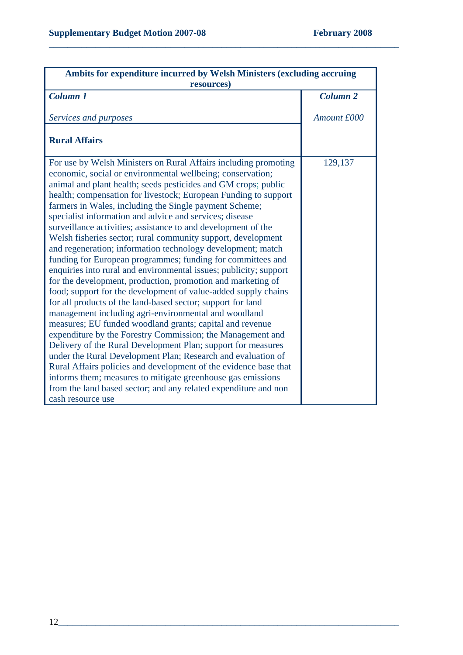| Ambits for expenditure incurred by Welsh Ministers (excluding accruing<br>resources)                                                                                                                                                                                                                                                                                                                                                                                                                                                                                                                                                                                                                                                                                                                                                                                                                                                                                                                                                                                                                                                                                                                                                                                                                                                                                                                                                                                     |                 |
|--------------------------------------------------------------------------------------------------------------------------------------------------------------------------------------------------------------------------------------------------------------------------------------------------------------------------------------------------------------------------------------------------------------------------------------------------------------------------------------------------------------------------------------------------------------------------------------------------------------------------------------------------------------------------------------------------------------------------------------------------------------------------------------------------------------------------------------------------------------------------------------------------------------------------------------------------------------------------------------------------------------------------------------------------------------------------------------------------------------------------------------------------------------------------------------------------------------------------------------------------------------------------------------------------------------------------------------------------------------------------------------------------------------------------------------------------------------------------|-----------------|
| Column 1                                                                                                                                                                                                                                                                                                                                                                                                                                                                                                                                                                                                                                                                                                                                                                                                                                                                                                                                                                                                                                                                                                                                                                                                                                                                                                                                                                                                                                                                 | <b>Column 2</b> |
| Services and purposes                                                                                                                                                                                                                                                                                                                                                                                                                                                                                                                                                                                                                                                                                                                                                                                                                                                                                                                                                                                                                                                                                                                                                                                                                                                                                                                                                                                                                                                    | Amount £000     |
| <b>Rural Affairs</b>                                                                                                                                                                                                                                                                                                                                                                                                                                                                                                                                                                                                                                                                                                                                                                                                                                                                                                                                                                                                                                                                                                                                                                                                                                                                                                                                                                                                                                                     |                 |
| For use by Welsh Ministers on Rural Affairs including promoting<br>economic, social or environmental wellbeing; conservation;<br>animal and plant health; seeds pesticides and GM crops; public<br>health; compensation for livestock; European Funding to support<br>farmers in Wales, including the Single payment Scheme;<br>specialist information and advice and services; disease<br>surveillance activities; assistance to and development of the<br>Welsh fisheries sector; rural community support, development<br>and regeneration; information technology development; match<br>funding for European programmes; funding for committees and<br>enquiries into rural and environmental issues; publicity; support<br>for the development, production, promotion and marketing of<br>food; support for the development of value-added supply chains<br>for all products of the land-based sector; support for land<br>management including agri-environmental and woodland<br>measures; EU funded woodland grants; capital and revenue<br>expenditure by the Forestry Commission; the Management and<br>Delivery of the Rural Development Plan; support for measures<br>under the Rural Development Plan; Research and evaluation of<br>Rural Affairs policies and development of the evidence base that<br>informs them; measures to mitigate greenhouse gas emissions<br>from the land based sector; and any related expenditure and non<br>cash resource use | 129,137         |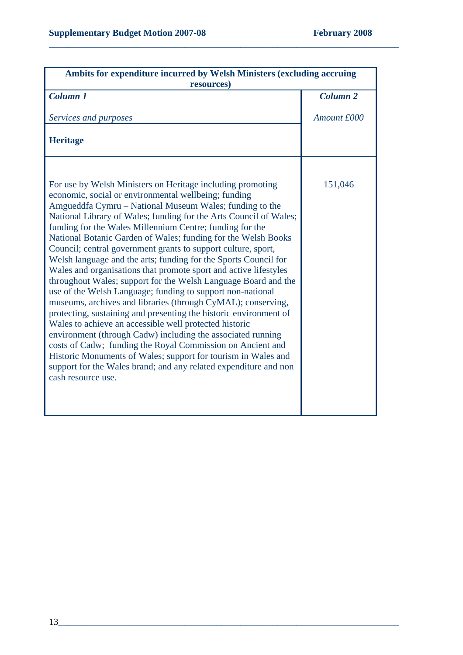| Ambits for expenditure incurred by Welsh Ministers (excluding accruing<br>resources)                                                                                                                                                                                                                                                                                                                                                                                                                                                                                                                                                                                                                                                                                                                                                                                                                                                                                                                                                                                                                                                                                                                           |                     |
|----------------------------------------------------------------------------------------------------------------------------------------------------------------------------------------------------------------------------------------------------------------------------------------------------------------------------------------------------------------------------------------------------------------------------------------------------------------------------------------------------------------------------------------------------------------------------------------------------------------------------------------------------------------------------------------------------------------------------------------------------------------------------------------------------------------------------------------------------------------------------------------------------------------------------------------------------------------------------------------------------------------------------------------------------------------------------------------------------------------------------------------------------------------------------------------------------------------|---------------------|
| <b>Column 1</b>                                                                                                                                                                                                                                                                                                                                                                                                                                                                                                                                                                                                                                                                                                                                                                                                                                                                                                                                                                                                                                                                                                                                                                                                | Column <sub>2</sub> |
| Services and purposes                                                                                                                                                                                                                                                                                                                                                                                                                                                                                                                                                                                                                                                                                                                                                                                                                                                                                                                                                                                                                                                                                                                                                                                          | Amount £000         |
| <b>Heritage</b>                                                                                                                                                                                                                                                                                                                                                                                                                                                                                                                                                                                                                                                                                                                                                                                                                                                                                                                                                                                                                                                                                                                                                                                                |                     |
| For use by Welsh Ministers on Heritage including promoting<br>economic, social or environmental wellbeing; funding<br>Amgueddfa Cymru – National Museum Wales; funding to the<br>National Library of Wales; funding for the Arts Council of Wales;<br>funding for the Wales Millennium Centre; funding for the<br>National Botanic Garden of Wales; funding for the Welsh Books<br>Council; central government grants to support culture, sport,<br>Welsh language and the arts; funding for the Sports Council for<br>Wales and organisations that promote sport and active lifestyles<br>throughout Wales; support for the Welsh Language Board and the<br>use of the Welsh Language; funding to support non-national<br>museums, archives and libraries (through CyMAL); conserving,<br>protecting, sustaining and presenting the historic environment of<br>Wales to achieve an accessible well protected historic<br>environment (through Cadw) including the associated running<br>costs of Cadw; funding the Royal Commission on Ancient and<br>Historic Monuments of Wales; support for tourism in Wales and<br>support for the Wales brand; and any related expenditure and non<br>cash resource use. | 151,046             |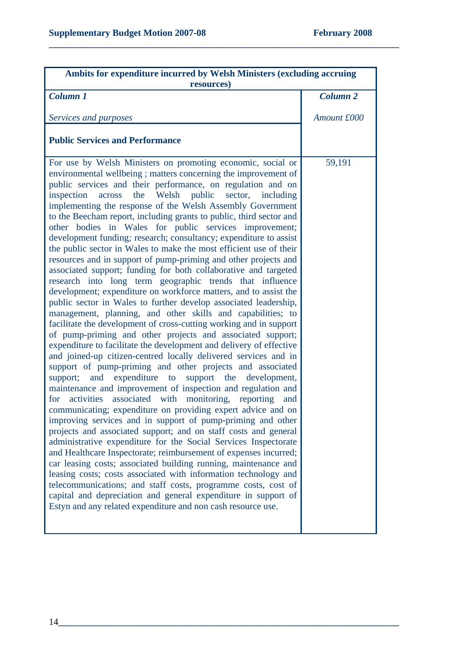| Ambits for expenditure incurred by Welsh Ministers (excluding accruing<br>resources)                                                                                                                                                                                                                                                                                                                                                                                                                                                                                                                                                                                                                                                                                                                                                                                                                                                                                                                                                                                                                                                                                                                                                                                                                                                                                                                                                                                                                                                                                                                                                                                                                                                                                                                                                                                                                                                                                                                                                                                                                                                                                                                                                                   |                 |
|--------------------------------------------------------------------------------------------------------------------------------------------------------------------------------------------------------------------------------------------------------------------------------------------------------------------------------------------------------------------------------------------------------------------------------------------------------------------------------------------------------------------------------------------------------------------------------------------------------------------------------------------------------------------------------------------------------------------------------------------------------------------------------------------------------------------------------------------------------------------------------------------------------------------------------------------------------------------------------------------------------------------------------------------------------------------------------------------------------------------------------------------------------------------------------------------------------------------------------------------------------------------------------------------------------------------------------------------------------------------------------------------------------------------------------------------------------------------------------------------------------------------------------------------------------------------------------------------------------------------------------------------------------------------------------------------------------------------------------------------------------------------------------------------------------------------------------------------------------------------------------------------------------------------------------------------------------------------------------------------------------------------------------------------------------------------------------------------------------------------------------------------------------------------------------------------------------------------------------------------------------|-----------------|
| <b>Column 1</b>                                                                                                                                                                                                                                                                                                                                                                                                                                                                                                                                                                                                                                                                                                                                                                                                                                                                                                                                                                                                                                                                                                                                                                                                                                                                                                                                                                                                                                                                                                                                                                                                                                                                                                                                                                                                                                                                                                                                                                                                                                                                                                                                                                                                                                        | <b>Column 2</b> |
| Services and purposes                                                                                                                                                                                                                                                                                                                                                                                                                                                                                                                                                                                                                                                                                                                                                                                                                                                                                                                                                                                                                                                                                                                                                                                                                                                                                                                                                                                                                                                                                                                                                                                                                                                                                                                                                                                                                                                                                                                                                                                                                                                                                                                                                                                                                                  | Amount £000     |
| <b>Public Services and Performance</b>                                                                                                                                                                                                                                                                                                                                                                                                                                                                                                                                                                                                                                                                                                                                                                                                                                                                                                                                                                                                                                                                                                                                                                                                                                                                                                                                                                                                                                                                                                                                                                                                                                                                                                                                                                                                                                                                                                                                                                                                                                                                                                                                                                                                                 |                 |
| For use by Welsh Ministers on promoting economic, social or<br>environmental wellbeing; matters concerning the improvement of<br>public services and their performance, on regulation and on<br>the Welsh public<br>sector, including<br>inspection<br>across<br>implementing the response of the Welsh Assembly Government<br>to the Beecham report, including grants to public, third sector and<br>other bodies in Wales for public services improvement;<br>development funding; research; consultancy; expenditure to assist<br>the public sector in Wales to make the most efficient use of their<br>resources and in support of pump-priming and other projects and<br>associated support; funding for both collaborative and targeted<br>research into long term geographic trends that influence<br>development; expenditure on workforce matters, and to assist the<br>public sector in Wales to further develop associated leadership,<br>management, planning, and other skills and capabilities; to<br>facilitate the development of cross-cutting working and in support<br>of pump-priming and other projects and associated support;<br>expenditure to facilitate the development and delivery of effective<br>and joined-up citizen-centred locally delivered services and in<br>support of pump-priming and other projects and associated<br>support; and expenditure to<br>support the<br>development,<br>maintenance and improvement of inspection and regulation and<br>associated<br>with<br>monitoring, reporting<br>for<br>activities<br>and<br>communicating; expenditure on providing expert advice and on<br>improving services and in support of pump-priming and other<br>projects and associated support; and on staff costs and general<br>administrative expenditure for the Social Services Inspectorate<br>and Healthcare Inspectorate; reimbursement of expenses incurred;<br>car leasing costs; associated building running, maintenance and<br>leasing costs; costs associated with information technology and<br>telecommunications; and staff costs, programme costs, cost of<br>capital and depreciation and general expenditure in support of<br>Estyn and any related expenditure and non cash resource use. | 59,191          |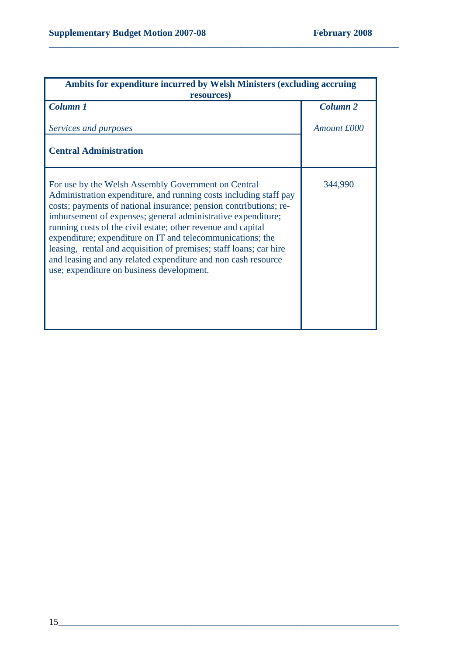| <b>Ambits for expenditure incurred by Welsh Ministers (excluding accruing</b><br>resources)                                                                                                                                                                                                                                                                                                                                                                                                                                                                                     |                     |
|---------------------------------------------------------------------------------------------------------------------------------------------------------------------------------------------------------------------------------------------------------------------------------------------------------------------------------------------------------------------------------------------------------------------------------------------------------------------------------------------------------------------------------------------------------------------------------|---------------------|
| <b>Column 1</b>                                                                                                                                                                                                                                                                                                                                                                                                                                                                                                                                                                 | Column <sub>2</sub> |
| Services and purposes                                                                                                                                                                                                                                                                                                                                                                                                                                                                                                                                                           | Amount £000         |
| <b>Central Administration</b>                                                                                                                                                                                                                                                                                                                                                                                                                                                                                                                                                   |                     |
| For use by the Welsh Assembly Government on Central<br>Administration expenditure, and running costs including staff pay<br>costs; payments of national insurance; pension contributions; re-<br>imbursement of expenses; general administrative expenditure;<br>running costs of the civil estate; other revenue and capital<br>expenditure; expenditure on IT and telecommunications; the<br>leasing, rental and acquisition of premises; staff loans; car hire<br>and leasing and any related expenditure and non cash resource<br>use; expenditure on business development. | 344,990             |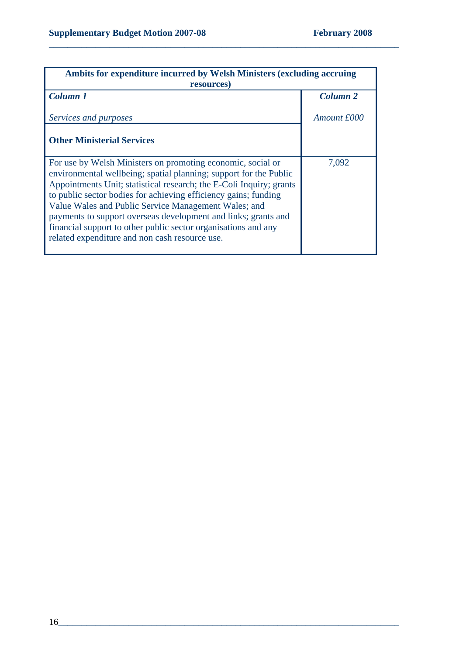| Ambits for expenditure incurred by Welsh Ministers (excluding accruing<br>resources)                                                                                                                                                                                                                                                                                                                                                                                                                                     |                     |
|--------------------------------------------------------------------------------------------------------------------------------------------------------------------------------------------------------------------------------------------------------------------------------------------------------------------------------------------------------------------------------------------------------------------------------------------------------------------------------------------------------------------------|---------------------|
| <b>Column 1</b>                                                                                                                                                                                                                                                                                                                                                                                                                                                                                                          | Column <sub>2</sub> |
| Services and purposes                                                                                                                                                                                                                                                                                                                                                                                                                                                                                                    | Amount £000         |
| <b>Other Ministerial Services</b>                                                                                                                                                                                                                                                                                                                                                                                                                                                                                        |                     |
| For use by Welsh Ministers on promoting economic, social or<br>environmental wellbeing; spatial planning; support for the Public<br>Appointments Unit; statistical research; the E-Coli Inquiry; grants<br>to public sector bodies for achieving efficiency gains; funding<br>Value Wales and Public Service Management Wales; and<br>payments to support overseas development and links; grants and<br>financial support to other public sector organisations and any<br>related expenditure and non cash resource use. | 7,092               |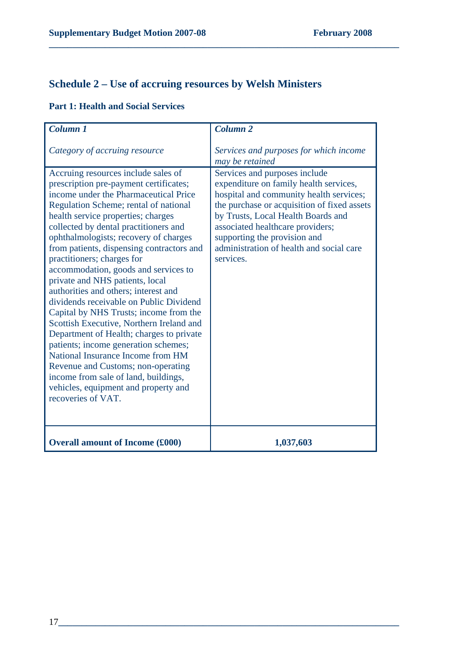# **Schedule 2 – Use of accruing resources by Welsh Ministers**

| Column 1                                                                                                                                                                                                                                                                                                                                                                                                                                                                                                                                                                                                                                                                                                                                                                                                                                                                                    | Column <sub>2</sub>                                                                                                                                                                                                                                                                                                                  |
|---------------------------------------------------------------------------------------------------------------------------------------------------------------------------------------------------------------------------------------------------------------------------------------------------------------------------------------------------------------------------------------------------------------------------------------------------------------------------------------------------------------------------------------------------------------------------------------------------------------------------------------------------------------------------------------------------------------------------------------------------------------------------------------------------------------------------------------------------------------------------------------------|--------------------------------------------------------------------------------------------------------------------------------------------------------------------------------------------------------------------------------------------------------------------------------------------------------------------------------------|
| Category of accruing resource                                                                                                                                                                                                                                                                                                                                                                                                                                                                                                                                                                                                                                                                                                                                                                                                                                                               | Services and purposes for which income<br>may be retained                                                                                                                                                                                                                                                                            |
| Accruing resources include sales of<br>prescription pre-payment certificates;<br>income under the Pharmaceutical Price<br>Regulation Scheme; rental of national<br>health service properties; charges<br>collected by dental practitioners and<br>ophthalmologists; recovery of charges<br>from patients, dispensing contractors and<br>practitioners; charges for<br>accommodation, goods and services to<br>private and NHS patients, local<br>authorities and others; interest and<br>dividends receivable on Public Dividend<br>Capital by NHS Trusts; income from the<br>Scottish Executive, Northern Ireland and<br>Department of Health; charges to private<br>patients; income generation schemes;<br>National Insurance Income from HM<br>Revenue and Customs; non-operating<br>income from sale of land, buildings,<br>vehicles, equipment and property and<br>recoveries of VAT. | Services and purposes include<br>expenditure on family health services,<br>hospital and community health services;<br>the purchase or acquisition of fixed assets<br>by Trusts, Local Health Boards and<br>associated healthcare providers;<br>supporting the provision and<br>administration of health and social care<br>services. |
| <b>Overall amount of Income (£000)</b>                                                                                                                                                                                                                                                                                                                                                                                                                                                                                                                                                                                                                                                                                                                                                                                                                                                      | 1,037,603                                                                                                                                                                                                                                                                                                                            |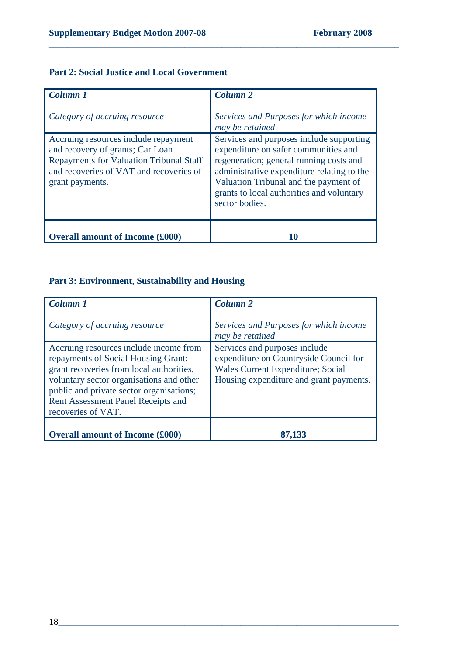### **Part 2: Social Justice and Local Government**

| <b>Column 1</b><br>Category of accruing resource                                                                                                                                         | Column <sub>2</sub><br>Services and Purposes for which income<br>may be retained                                                                                                                                                                                                  |
|------------------------------------------------------------------------------------------------------------------------------------------------------------------------------------------|-----------------------------------------------------------------------------------------------------------------------------------------------------------------------------------------------------------------------------------------------------------------------------------|
| Accruing resources include repayment<br>and recovery of grants; Car Loan<br><b>Repayments for Valuation Tribunal Staff</b><br>and recoveries of VAT and recoveries of<br>grant payments. | Services and purposes include supporting<br>expenditure on safer communities and<br>regeneration; general running costs and<br>administrative expenditure relating to the<br>Valuation Tribunal and the payment of<br>grants to local authorities and voluntary<br>sector bodies. |
| <b>Overall amount of Income (£000)</b>                                                                                                                                                   |                                                                                                                                                                                                                                                                                   |

**\_\_\_\_\_\_\_\_\_\_\_\_\_\_\_\_\_\_\_\_\_\_\_\_\_\_\_\_\_\_\_\_\_\_\_\_\_\_\_\_\_\_\_\_\_\_\_\_\_\_\_\_\_\_\_\_\_\_\_\_\_\_\_\_\_\_\_\_\_\_\_\_\_\_\_** 

## **Part 3: Environment, Sustainability and Housing**

| <b>Column 1</b>                                                                                                                                                                                                                                                                      | Column <sub>2</sub>                                                                                                                                            |
|--------------------------------------------------------------------------------------------------------------------------------------------------------------------------------------------------------------------------------------------------------------------------------------|----------------------------------------------------------------------------------------------------------------------------------------------------------------|
| Category of accruing resource                                                                                                                                                                                                                                                        | Services and Purposes for which income<br>may be retained                                                                                                      |
| Accruing resources include income from<br>repayments of Social Housing Grant;<br>grant recoveries from local authorities,<br>voluntary sector organisations and other<br>public and private sector organisations;<br><b>Rent Assessment Panel Receipts and</b><br>recoveries of VAT. | Services and purposes include<br>expenditure on Countryside Council for<br><b>Wales Current Expenditure; Social</b><br>Housing expenditure and grant payments. |
| <b>Overall amount of Income (£000)</b>                                                                                                                                                                                                                                               |                                                                                                                                                                |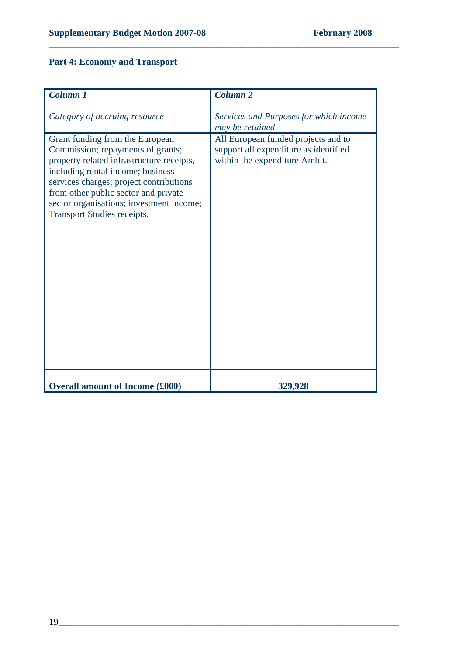# **Part 4: Economy and Transport**

| <b>Column 1</b>                                                                                                                                                                                                                                                                                                             | Column <sub>2</sub>                                                                                           |
|-----------------------------------------------------------------------------------------------------------------------------------------------------------------------------------------------------------------------------------------------------------------------------------------------------------------------------|---------------------------------------------------------------------------------------------------------------|
| Category of accruing resource                                                                                                                                                                                                                                                                                               | Services and Purposes for which income<br>may be retained                                                     |
| Grant funding from the European<br>Commission; repayments of grants;<br>property related infrastructure receipts,<br>including rental income; business<br>services charges; project contributions<br>from other public sector and private<br>sector organisations; investment income;<br><b>Transport Studies receipts.</b> | All European funded projects and to<br>support all expenditure as identified<br>within the expenditure Ambit. |
| <b>Overall amount of Income (£000)</b>                                                                                                                                                                                                                                                                                      | 329,928                                                                                                       |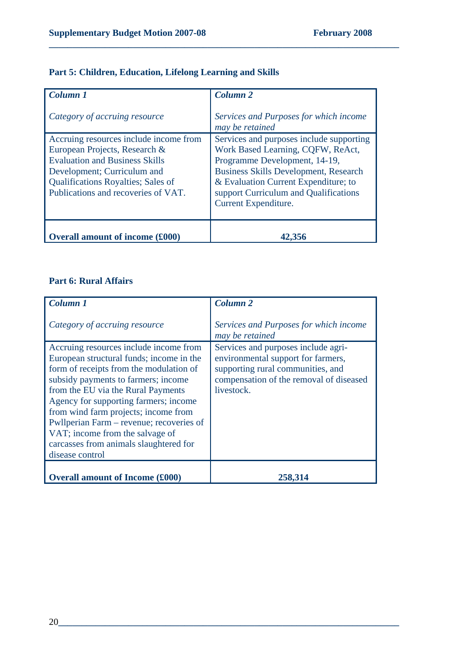| <b>Column 1</b><br>Category of accruing resource                                                                                                                                                                             | Column <sub>2</sub><br>Services and Purposes for which income<br>may be retained                                                                                                                                                                                        |
|------------------------------------------------------------------------------------------------------------------------------------------------------------------------------------------------------------------------------|-------------------------------------------------------------------------------------------------------------------------------------------------------------------------------------------------------------------------------------------------------------------------|
| Accruing resources include income from<br>European Projects, Research &<br><b>Evaluation and Business Skills</b><br>Development; Curriculum and<br>Qualifications Royalties; Sales of<br>Publications and recoveries of VAT. | Services and purposes include supporting<br>Work Based Learning, CQFW, ReAct,<br>Programme Development, 14-19,<br><b>Business Skills Development, Research</b><br>& Evaluation Current Expenditure; to<br>support Curriculum and Qualifications<br>Current Expenditure. |
| <b>Overall amount of income (£000)</b>                                                                                                                                                                                       |                                                                                                                                                                                                                                                                         |

### **Part 5: Children, Education, Lifelong Learning and Skills**

## **Part 6: Rural Affairs**

| <b>Column 1</b>                                                                                                                                                                                                                                                                                                                                                                                                                         | <b>Column 2</b>                                                                                                                                                         |
|-----------------------------------------------------------------------------------------------------------------------------------------------------------------------------------------------------------------------------------------------------------------------------------------------------------------------------------------------------------------------------------------------------------------------------------------|-------------------------------------------------------------------------------------------------------------------------------------------------------------------------|
| Category of accruing resource                                                                                                                                                                                                                                                                                                                                                                                                           | Services and Purposes for which income<br>may be retained                                                                                                               |
| Accruing resources include income from<br>European structural funds; income in the<br>form of receipts from the modulation of<br>subsidy payments to farmers; income<br>from the EU via the Rural Payments<br>Agency for supporting farmers; income<br>from wind farm projects; income from<br>Pwllperian Farm – revenue; recoveries of<br>VAT; income from the salvage of<br>carcasses from animals slaughtered for<br>disease control | Services and purposes include agri-<br>environmental support for farmers,<br>supporting rural communities, and<br>compensation of the removal of diseased<br>livestock. |
| <b>Overall amount of Income (£000)</b>                                                                                                                                                                                                                                                                                                                                                                                                  | 258.314                                                                                                                                                                 |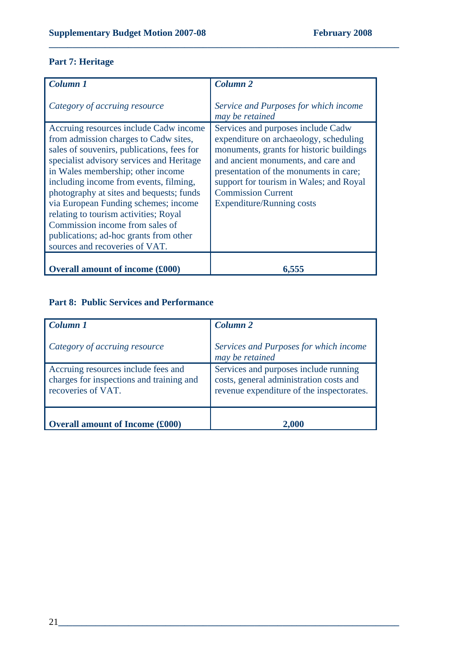## **Part 7: Heritage**

| <b>Column 1</b>                                                                                                                                                                                                                                                                                                                                                                                                                                                                                       | <b>Column 2</b>                                                                                                                                                                                                                                                                                                       |
|-------------------------------------------------------------------------------------------------------------------------------------------------------------------------------------------------------------------------------------------------------------------------------------------------------------------------------------------------------------------------------------------------------------------------------------------------------------------------------------------------------|-----------------------------------------------------------------------------------------------------------------------------------------------------------------------------------------------------------------------------------------------------------------------------------------------------------------------|
| Category of accruing resource                                                                                                                                                                                                                                                                                                                                                                                                                                                                         | Service and Purposes for which income<br>may be retained                                                                                                                                                                                                                                                              |
| Accruing resources include Cadw income<br>from admission charges to Cadw sites,<br>sales of souvenirs, publications, fees for<br>specialist advisory services and Heritage<br>in Wales membership; other income<br>including income from events, filming,<br>photography at sites and bequests; funds<br>via European Funding schemes; income<br>relating to tourism activities; Royal<br>Commission income from sales of<br>publications; ad-hoc grants from other<br>sources and recoveries of VAT. | Services and purposes include Cadw<br>expenditure on archaeology, scheduling<br>monuments, grants for historic buildings<br>and ancient monuments, and care and<br>presentation of the monuments in care;<br>support for tourism in Wales; and Royal<br><b>Commission Current</b><br><b>Expenditure/Running costs</b> |
| <b>Overall amount of income (£000)</b>                                                                                                                                                                                                                                                                                                                                                                                                                                                                |                                                                                                                                                                                                                                                                                                                       |

**\_\_\_\_\_\_\_\_\_\_\_\_\_\_\_\_\_\_\_\_\_\_\_\_\_\_\_\_\_\_\_\_\_\_\_\_\_\_\_\_\_\_\_\_\_\_\_\_\_\_\_\_\_\_\_\_\_\_\_\_\_\_\_\_\_\_\_\_\_\_\_\_\_\_\_** 

## **Part 8: Public Services and Performance**

| Column 1<br>Category of accruing resource                                                             | <b>Column 2</b><br>Services and Purposes for which income<br>may be retained                                                  |
|-------------------------------------------------------------------------------------------------------|-------------------------------------------------------------------------------------------------------------------------------|
| Accruing resources include fees and<br>charges for inspections and training and<br>recoveries of VAT. | Services and purposes include running<br>costs, general administration costs and<br>revenue expenditure of the inspectorates. |
| <b>Overall amount of Income (£000)</b>                                                                | 2,000                                                                                                                         |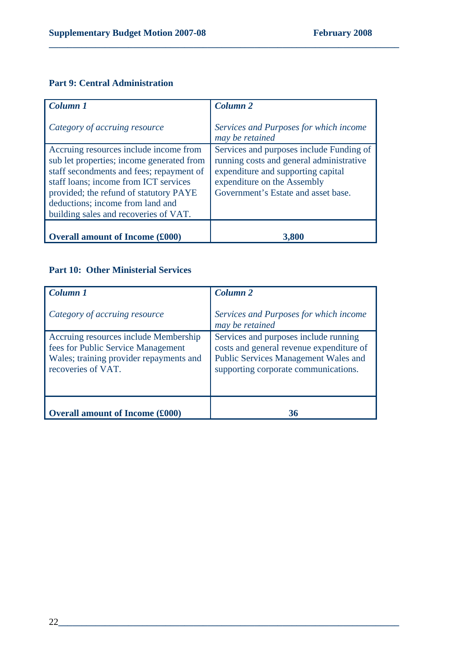## **Part 9: Central Administration**

| Column 1                                                                                                                                                                                                                                                                                        | Column <sub>2</sub>                                                                                                                                                                              |
|-------------------------------------------------------------------------------------------------------------------------------------------------------------------------------------------------------------------------------------------------------------------------------------------------|--------------------------------------------------------------------------------------------------------------------------------------------------------------------------------------------------|
| Category of accruing resource                                                                                                                                                                                                                                                                   | Services and Purposes for which income<br>may be retained                                                                                                                                        |
| Accruing resources include income from<br>sub let properties; income generated from<br>staff secondments and fees; repayment of<br>staff loans; income from ICT services<br>provided; the refund of statutory PAYE<br>deductions; income from land and<br>building sales and recoveries of VAT. | Services and purposes include Funding of<br>running costs and general administrative<br>expenditure and supporting capital<br>expenditure on the Assembly<br>Government's Estate and asset base. |
| <b>Overall amount of Income (£000)</b>                                                                                                                                                                                                                                                          | 3,800                                                                                                                                                                                            |

**\_\_\_\_\_\_\_\_\_\_\_\_\_\_\_\_\_\_\_\_\_\_\_\_\_\_\_\_\_\_\_\_\_\_\_\_\_\_\_\_\_\_\_\_\_\_\_\_\_\_\_\_\_\_\_\_\_\_\_\_\_\_\_\_\_\_\_\_\_\_\_\_\_\_\_** 

## **Part 10: Other Ministerial Services**

| <b>Column 1</b><br>Category of accruing resource                                                                                             | Column <sub>2</sub><br>Services and Purposes for which income<br>may be retained                                                                                  |
|----------------------------------------------------------------------------------------------------------------------------------------------|-------------------------------------------------------------------------------------------------------------------------------------------------------------------|
| Accruing resources include Membership<br>fees for Public Service Management<br>Wales; training provider repayments and<br>recoveries of VAT. | Services and purposes include running<br>costs and general revenue expenditure of<br>Public Services Management Wales and<br>supporting corporate communications. |
| Overall amount of Income (£000)                                                                                                              | 36                                                                                                                                                                |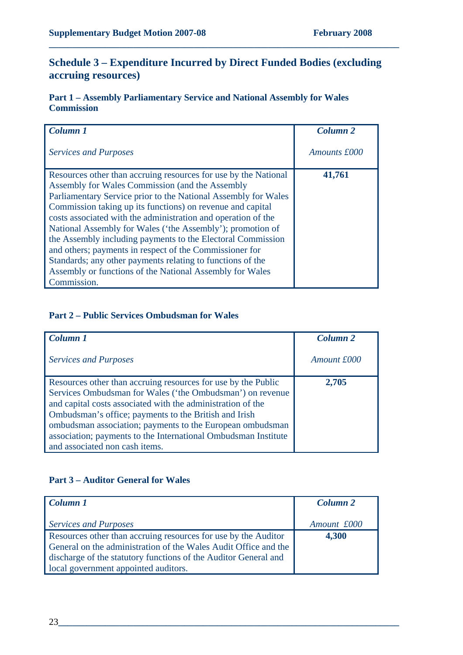## **Schedule 3 – Expenditure Incurred by Direct Funded Bodies (excluding accruing resources)**

**\_\_\_\_\_\_\_\_\_\_\_\_\_\_\_\_\_\_\_\_\_\_\_\_\_\_\_\_\_\_\_\_\_\_\_\_\_\_\_\_\_\_\_\_\_\_\_\_\_\_\_\_\_\_\_\_\_\_\_\_\_\_\_\_\_\_\_\_\_\_\_\_\_\_\_** 

**Part 1 – Assembly Parliamentary Service and National Assembly for Wales Commission** 

| Column 1                                                                                                                    | Column <sub>2</sub> |
|-----------------------------------------------------------------------------------------------------------------------------|---------------------|
| <b>Services and Purposes</b>                                                                                                | Amounts £000        |
| Resources other than accruing resources for use by the National<br>Assembly for Wales Commission (and the Assembly          | 41,761              |
| Parliamentary Service prior to the National Assembly for Wales                                                              |                     |
| Commission taking up its functions) on revenue and capital                                                                  |                     |
| costs associated with the administration and operation of the<br>National Assembly for Wales ('the Assembly'); promotion of |                     |
| the Assembly including payments to the Electoral Commission                                                                 |                     |
| and others; payments in respect of the Commissioner for                                                                     |                     |
| Standards; any other payments relating to functions of the<br>Assembly or functions of the National Assembly for Wales      |                     |
| Commission.                                                                                                                 |                     |

#### **Part 2 – Public Services Ombudsman for Wales**

| Column 1                                                                                                                                                                                                                                                                                                                                                                          | Column <sub>2</sub> |
|-----------------------------------------------------------------------------------------------------------------------------------------------------------------------------------------------------------------------------------------------------------------------------------------------------------------------------------------------------------------------------------|---------------------|
| <b>Services and Purposes</b>                                                                                                                                                                                                                                                                                                                                                      | Amount £000         |
| Resources other than accruing resources for use by the Public<br>Services Ombudsman for Wales ('the Ombudsman') on revenue<br>and capital costs associated with the administration of the<br>Ombudsman's office; payments to the British and Irish<br>ombudsman association; payments to the European ombudsman<br>association; payments to the International Ombudsman Institute | 2,705               |
| and associated non cash items.                                                                                                                                                                                                                                                                                                                                                    |                     |

#### **Part 3 – Auditor General for Wales**

| Column 1                                                        | <b>Column 2</b> |
|-----------------------------------------------------------------|-----------------|
|                                                                 |                 |
| <b>Services and Purposes</b>                                    | Amount £000     |
| Resources other than accruing resources for use by the Auditor  | 4,300           |
| General on the administration of the Wales Audit Office and the |                 |
| discharge of the statutory functions of the Auditor General and |                 |
| local government appointed auditors.                            |                 |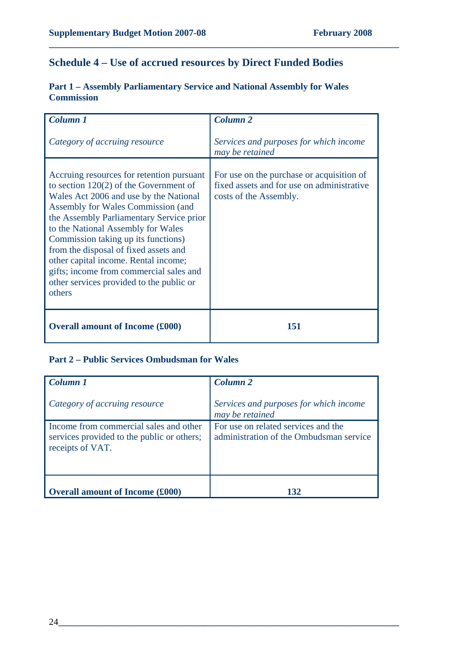## **Schedule 4 – Use of accrued resources by Direct Funded Bodies**

**\_\_\_\_\_\_\_\_\_\_\_\_\_\_\_\_\_\_\_\_\_\_\_\_\_\_\_\_\_\_\_\_\_\_\_\_\_\_\_\_\_\_\_\_\_\_\_\_\_\_\_\_\_\_\_\_\_\_\_\_\_\_\_\_\_\_\_\_\_\_\_\_\_\_\_** 

| <b>Column 1</b>                                                                                                                                                                                                                                                                                                                                                                                                                                                                  | <b>Column 2</b>                                                                                                   |
|----------------------------------------------------------------------------------------------------------------------------------------------------------------------------------------------------------------------------------------------------------------------------------------------------------------------------------------------------------------------------------------------------------------------------------------------------------------------------------|-------------------------------------------------------------------------------------------------------------------|
| Category of accruing resource                                                                                                                                                                                                                                                                                                                                                                                                                                                    | Services and purposes for which income<br>may be retained                                                         |
| Accruing resources for retention pursuant<br>to section $120(2)$ of the Government of<br>Wales Act 2006 and use by the National<br>Assembly for Wales Commission (and<br>the Assembly Parliamentary Service prior<br>to the National Assembly for Wales<br>Commission taking up its functions)<br>from the disposal of fixed assets and<br>other capital income. Rental income;<br>gifts; income from commercial sales and<br>other services provided to the public or<br>others | For use on the purchase or acquisition of<br>fixed assets and for use on administrative<br>costs of the Assembly. |
| <b>Overall amount of Income (£000)</b>                                                                                                                                                                                                                                                                                                                                                                                                                                           | 151                                                                                                               |

#### **Part 1 – Assembly Parliamentary Service and National Assembly for Wales Commission**

#### **Part 2 – Public Services Ombudsman for Wales**

| Column 1<br>Category of accruing resource                                                                | Column <sub>2</sub><br>Services and purposes for which income<br>may be retained |
|----------------------------------------------------------------------------------------------------------|----------------------------------------------------------------------------------|
| Income from commercial sales and other<br>services provided to the public or others;<br>receipts of VAT. | For use on related services and the<br>administration of the Ombudsman service   |
| <b>Overall amount of Income (£000)</b>                                                                   | 132                                                                              |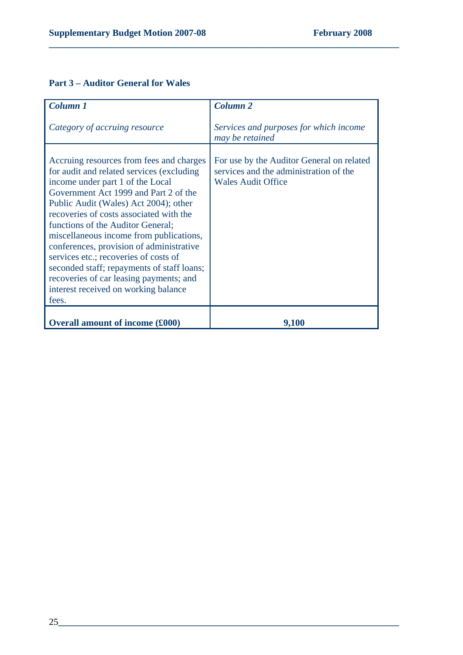## **Part 3 – Auditor General for Wales**

| Column 1                                                                                                                                                                                                                                                                                                                                                                                                                                                                                                                                                              | <b>Column 2</b>                                                                                                  |
|-----------------------------------------------------------------------------------------------------------------------------------------------------------------------------------------------------------------------------------------------------------------------------------------------------------------------------------------------------------------------------------------------------------------------------------------------------------------------------------------------------------------------------------------------------------------------|------------------------------------------------------------------------------------------------------------------|
| Category of accruing resource                                                                                                                                                                                                                                                                                                                                                                                                                                                                                                                                         | Services and purposes for which income<br>may be retained                                                        |
| Accruing resources from fees and charges<br>for audit and related services (excluding<br>income under part 1 of the Local<br>Government Act 1999 and Part 2 of the<br>Public Audit (Wales) Act 2004); other<br>recoveries of costs associated with the<br>functions of the Auditor General;<br>miscellaneous income from publications,<br>conferences, provision of administrative<br>services etc.; recoveries of costs of<br>seconded staff; repayments of staff loans;<br>recoveries of car leasing payments; and<br>interest received on working balance<br>fees. | For use by the Auditor General on related<br>services and the administration of the<br><b>Wales Audit Office</b> |
| <b>Overall amount of income (£000)</b>                                                                                                                                                                                                                                                                                                                                                                                                                                                                                                                                | 9,100                                                                                                            |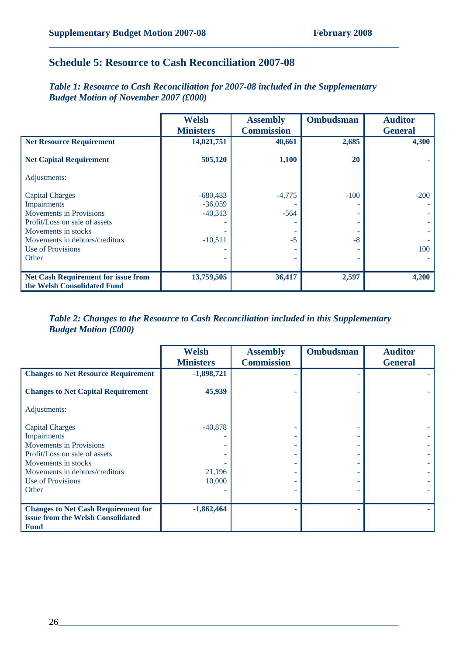## **Schedule 5: Resource to Cash Reconciliation 2007-08**

*Table 1: Resource to Cash Reconciliation for 2007-08 included in the Supplementary Budget Motion of November 2007 (£000)* 

**\_\_\_\_\_\_\_\_\_\_\_\_\_\_\_\_\_\_\_\_\_\_\_\_\_\_\_\_\_\_\_\_\_\_\_\_\_\_\_\_\_\_\_\_\_\_\_\_\_\_\_\_\_\_\_\_\_\_\_\_\_\_\_\_\_\_\_\_\_\_\_\_\_\_\_** 

|                                     | <b>Welsh</b>     | <b>Assembly</b>   | <b>Ombudsman</b><br><b>Auditor</b> |                |
|-------------------------------------|------------------|-------------------|------------------------------------|----------------|
|                                     | <b>Ministers</b> | <b>Commission</b> |                                    | <b>General</b> |
| <b>Net Resource Requirement</b>     | 14,021,751       | 40,661            | 2,685                              | 4,300          |
| <b>Net Capital Requirement</b>      | 505,120          | 1,100             | 20                                 |                |
| Adjustments:                        |                  |                   |                                    |                |
| <b>Capital Charges</b>              | $-680,483$       | $-4,775$          | $-100$                             | $-200$         |
| Impairments                         | $-36,059$        |                   |                                    |                |
| Movements in Provisions             | $-40,313$        | $-564$            |                                    |                |
| Profit/Loss on sale of assets       |                  |                   |                                    |                |
| Movements in stocks                 |                  |                   |                                    |                |
| Movements in debtors/creditors      | $-10,511$        | $-5$              | $-8$                               |                |
| Use of Provisions                   |                  |                   |                                    | 100            |
| Other                               |                  |                   |                                    |                |
|                                     |                  |                   |                                    |                |
| Net Cash Requirement for issue from | 13,759,505       | 36,417            | 2,597                              | 4,200          |
| the Welsh Consolidated Fund         |                  |                   |                                    |                |

*Table 2: Changes to the Resource to Cash Reconciliation included in this Supplementary Budget Motion (£000)* 

|                                            | <b>Welsh</b><br><b>Ministers</b> | <b>Assembly</b><br><b>Commission</b> | <b>Ombudsman</b> | <b>Auditor</b><br><b>General</b> |  |
|--------------------------------------------|----------------------------------|--------------------------------------|------------------|----------------------------------|--|
|                                            |                                  |                                      |                  |                                  |  |
| <b>Changes to Net Resource Requirement</b> | $-1,898,721$                     |                                      |                  |                                  |  |
|                                            |                                  |                                      |                  |                                  |  |
| <b>Changes to Net Capital Requirement</b>  | 45,939                           |                                      |                  |                                  |  |
|                                            |                                  |                                      |                  |                                  |  |
| Adjustments:                               |                                  |                                      |                  |                                  |  |
|                                            |                                  |                                      |                  |                                  |  |
| <b>Capital Charges</b>                     | $-40,878$                        |                                      |                  |                                  |  |
| Impairments                                |                                  |                                      |                  |                                  |  |
| <b>Movements in Provisions</b>             |                                  |                                      |                  |                                  |  |
| Profit/Loss on sale of assets              |                                  |                                      |                  |                                  |  |
| Movements in stocks                        |                                  |                                      |                  |                                  |  |
| Movements in debtors/creditors             | 21,196                           |                                      |                  |                                  |  |
| Use of Provisions                          | 10,000                           |                                      |                  |                                  |  |
|                                            |                                  |                                      |                  |                                  |  |
| Other                                      |                                  |                                      |                  |                                  |  |
|                                            |                                  |                                      |                  |                                  |  |
| <b>Changes to Net Cash Requirement for</b> | $-1,862,464$                     |                                      |                  |                                  |  |
| issue from the Welsh Consolidated          |                                  |                                      |                  |                                  |  |
| <b>Fund</b>                                |                                  |                                      |                  |                                  |  |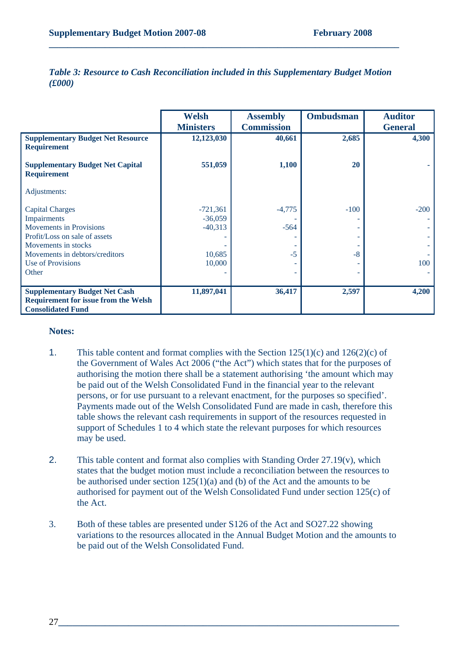|                                                                                                                 | <b>Welsh</b>     | <b>Assembly</b>   | <b>Ombudsman</b> | <b>Auditor</b> |
|-----------------------------------------------------------------------------------------------------------------|------------------|-------------------|------------------|----------------|
|                                                                                                                 | <b>Ministers</b> | <b>Commission</b> |                  | <b>General</b> |
| <b>Supplementary Budget Net Resource</b><br><b>Requirement</b>                                                  | 12,123,030       | 40,661            | 2,685            | 4,300          |
| <b>Supplementary Budget Net Capital</b><br><b>Requirement</b>                                                   | 551,059          | 1,100             | 20               |                |
| Adjustments:                                                                                                    |                  |                   |                  |                |
| <b>Capital Charges</b>                                                                                          | $-721,361$       | $-4,775$          | $-100$           | $-200$         |
| Impairments                                                                                                     | $-36,059$        |                   |                  |                |
| Movements in Provisions                                                                                         | $-40,313$        | $-564$            |                  |                |
| Profit/Loss on sale of assets                                                                                   |                  |                   |                  |                |
| Movements in stocks                                                                                             |                  |                   |                  |                |
| Movements in debtors/creditors                                                                                  | 10,685           | $-5$              | $-8$             |                |
| Use of Provisions                                                                                               | 10,000           |                   |                  | 100            |
| Other                                                                                                           |                  |                   |                  |                |
|                                                                                                                 |                  |                   |                  |                |
| <b>Supplementary Budget Net Cash</b><br><b>Requirement for issue from the Welsh</b><br><b>Consolidated Fund</b> | 11,897,041       | 36,417            | 2,597            | 4,200          |

*Table 3: Resource to Cash Reconciliation included in this Supplementary Budget Motion (£000)* 

**\_\_\_\_\_\_\_\_\_\_\_\_\_\_\_\_\_\_\_\_\_\_\_\_\_\_\_\_\_\_\_\_\_\_\_\_\_\_\_\_\_\_\_\_\_\_\_\_\_\_\_\_\_\_\_\_\_\_\_\_\_\_\_\_\_\_\_\_\_\_\_\_\_\_\_** 

#### **Notes:**

- 1. This table content and format complies with the Section  $125(1)(c)$  and  $126(2)(c)$  of the Government of Wales Act 2006 ("the Act") which states that for the purposes of authorising the motion there shall be a statement authorising 'the amount which may be paid out of the Welsh Consolidated Fund in the financial year to the relevant persons, or for use pursuant to a relevant enactment, for the purposes so specified'. Payments made out of the Welsh Consolidated Fund are made in cash, therefore this table shows the relevant cash requirements in support of the resources requested in support of Schedules 1 to 4 which state the relevant purposes for which resources may be used.
- 2. This table content and format also complies with Standing Order 27.19(v), which states that the budget motion must include a reconciliation between the resources to be authorised under section 125(1)(a) and (b) of the Act and the amounts to be authorised for payment out of the Welsh Consolidated Fund under section 125(c) of the Act.
- 3. Both of these tables are presented under S126 of the Act and SO27.22 showing variations to the resources allocated in the Annual Budget Motion and the amounts to be paid out of the Welsh Consolidated Fund.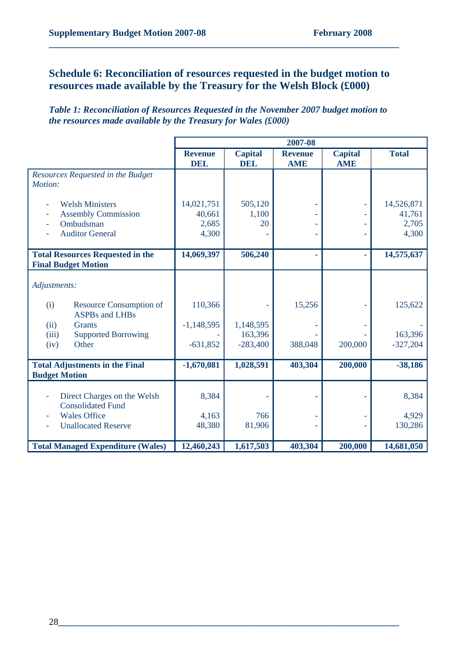## **Schedule 6: Reconciliation of resources requested in the budget motion to resources made available by the Treasury for the Welsh Block (£000)**

**\_\_\_\_\_\_\_\_\_\_\_\_\_\_\_\_\_\_\_\_\_\_\_\_\_\_\_\_\_\_\_\_\_\_\_\_\_\_\_\_\_\_\_\_\_\_\_\_\_\_\_\_\_\_\_\_\_\_\_\_\_\_\_\_\_\_\_\_\_\_\_\_\_\_\_** 

*Table 1: Reconciliation of Resources Requested in the November 2007 budget motion to the resources made available by the Treasury for Wales (£000)* 

|                                                                                             |                                        | 2007-08                      |                              |                              |                                        |
|---------------------------------------------------------------------------------------------|----------------------------------------|------------------------------|------------------------------|------------------------------|----------------------------------------|
|                                                                                             | <b>Revenue</b><br><b>DEL</b>           | <b>Capital</b><br><b>DEL</b> | <b>Revenue</b><br><b>AME</b> | <b>Capital</b><br><b>AME</b> | <b>Total</b>                           |
| Resources Requested in the Budget<br>Motion:                                                |                                        |                              |                              |                              |                                        |
| <b>Welsh Ministers</b><br><b>Assembly Commission</b><br>Ombudsman<br><b>Auditor General</b> | 14,021,751<br>40,661<br>2,685<br>4,300 | 505,120<br>1,100<br>20       |                              | L                            | 14,526,871<br>41,761<br>2,705<br>4,300 |
| <b>Total Resources Requested in the</b><br><b>Final Budget Motion</b>                       | 14,069,397                             | 506,240                      |                              | ٠                            | 14,575,637                             |
| Adjustments:                                                                                |                                        |                              |                              |                              |                                        |
| (i)<br><b>Resource Consumption of</b><br><b>ASPBs</b> and LHBs                              | 110,366                                |                              | 15,256                       |                              | 125,622                                |
| <b>Grants</b><br>(ii)                                                                       | $-1,148,595$                           | 1,148,595                    |                              |                              |                                        |
| <b>Supported Borrowing</b><br>(iii)<br>Other<br>(iv)                                        | $-631,852$                             | 163,396<br>$-283,400$        | 388,048                      | 200,000                      | 163,396<br>$-327,204$                  |
| <b>Total Adjustments in the Final</b><br><b>Budget Motion</b>                               | $-1,670,081$                           | 1,028,591                    | 403,304                      | 200,000                      | $-38,186$                              |
| Direct Charges on the Welsh<br><b>Consolidated Fund</b>                                     | 8,384                                  |                              |                              |                              | 8,384                                  |
| <b>Wales Office</b><br><b>Unallocated Reserve</b>                                           | 4,163<br>48,380                        | 766<br>81,906                |                              |                              | 4,929<br>130,286                       |
| <b>Total Managed Expenditure (Wales)</b>                                                    | 12,460,243                             | 1,617,503                    | 403,304                      | 200,000                      | 14,681,050                             |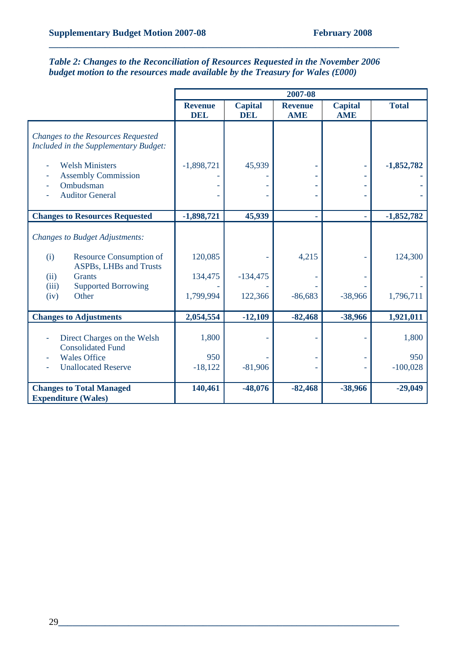*Table 2: Changes to the Reconciliation of Resources Requested in the November 2006 budget motion to the resources made available by the Treasury for Wales (£000)* 

|                                                                             | 2007-08                      |                              |                              |                              |              |
|-----------------------------------------------------------------------------|------------------------------|------------------------------|------------------------------|------------------------------|--------------|
|                                                                             | <b>Revenue</b><br><b>DEL</b> | <b>Capital</b><br><b>DEL</b> | <b>Revenue</b><br><b>AME</b> | <b>Capital</b><br><b>AME</b> | <b>Total</b> |
| Changes to the Resources Requested<br>Included in the Supplementary Budget: |                              |                              |                              |                              |              |
| <b>Welsh Ministers</b>                                                      | $-1,898,721$                 | 45,939                       |                              |                              | $-1,852,782$ |
| <b>Assembly Commission</b>                                                  |                              |                              |                              |                              |              |
| Ombudsman                                                                   |                              |                              |                              |                              |              |
| <b>Auditor General</b>                                                      |                              |                              |                              |                              |              |
| <b>Changes to Resources Requested</b>                                       | $-1,898,721$                 | 45,939                       | ٠                            | ٠                            | $-1,852,782$ |
| <b>Changes to Budget Adjustments:</b>                                       |                              |                              |                              |                              |              |
| <b>Resource Consumption of</b><br>(i)<br><b>ASPBs, LHBs and Trusts</b>      | 120,085                      |                              | 4,215                        |                              | 124,300      |
| <b>Grants</b><br>(ii)                                                       | 134,475                      | $-134,475$                   |                              |                              |              |
| <b>Supported Borrowing</b><br>(iii)<br>Other<br>(iv)                        | 1,799,994                    | 122,366                      | $-86,683$                    | $-38,966$                    | 1,796,711    |
| <b>Changes to Adjustments</b>                                               | 2,054,554                    | $-12,109$                    | $-82,468$                    | -38,966                      | 1,921,011    |
| Direct Charges on the Welsh<br><b>Consolidated Fund</b>                     | 1,800                        |                              |                              |                              | 1,800        |
| <b>Wales Office</b>                                                         | 950                          |                              |                              |                              | 950          |
| <b>Unallocated Reserve</b>                                                  | $-18,122$                    | $-81,906$                    |                              |                              | $-100,028$   |
| <b>Changes to Total Managed</b><br><b>Expenditure (Wales)</b>               | 140,461                      | $-48,076$                    | $-82,468$                    | -38,966                      | $-29,049$    |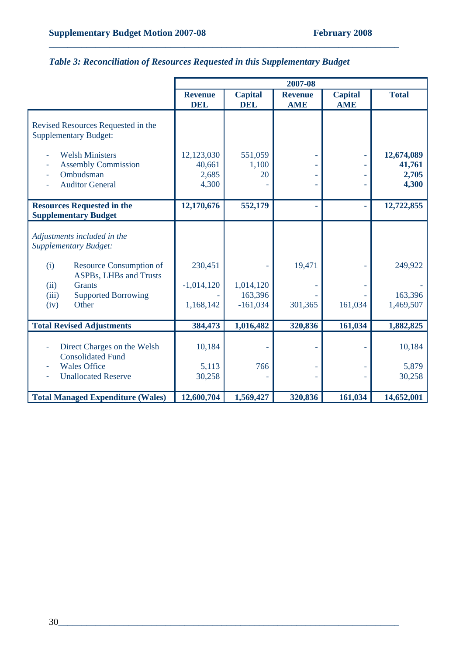# *Table 3: Reconciliation of Resources Requested in this Supplementary Budget*

|                                                                                                              |                                        |                                    | 2007-08                      |                              |                                        |
|--------------------------------------------------------------------------------------------------------------|----------------------------------------|------------------------------------|------------------------------|------------------------------|----------------------------------------|
|                                                                                                              | <b>Revenue</b><br><b>DEL</b>           | <b>Capital</b><br><b>DEL</b>       | <b>Revenue</b><br><b>AME</b> | <b>Capital</b><br><b>AME</b> | <b>Total</b>                           |
| Revised Resources Requested in the<br><b>Supplementary Budget:</b>                                           |                                        |                                    |                              |                              |                                        |
| <b>Welsh Ministers</b><br><b>Assembly Commission</b><br>Ombudsman<br><b>Auditor General</b>                  | 12,123,030<br>40,661<br>2,685<br>4,300 | 551,059<br>1,100<br>20             |                              |                              | 12,674,089<br>41,761<br>2,705<br>4,300 |
| <b>Resources Requested in the</b><br><b>Supplementary Budget</b>                                             | 12,170,676                             | 552,179                            |                              |                              | 12,722,855                             |
| Adjustments included in the<br><b>Supplementary Budget:</b>                                                  |                                        |                                    |                              |                              |                                        |
| (i)<br><b>Resource Consumption of</b><br>ASPBs, LHBs and Trusts                                              | 230,451                                |                                    | 19,471                       |                              | 249,922                                |
| (ii)<br><b>Grants</b><br><b>Supported Borrowing</b><br>(iii)<br>Other<br>(iv)                                | $-1,014,120$<br>1,168,142              | 1,014,120<br>163,396<br>$-161,034$ | 301,365                      | 161,034                      | 163,396<br>1,469,507                   |
| <b>Total Revised Adjustments</b>                                                                             | 384,473                                | 1,016,482                          | 320,836                      | 161,034                      | 1,882,825                              |
| Direct Charges on the Welsh<br><b>Consolidated Fund</b><br><b>Wales Office</b><br><b>Unallocated Reserve</b> | 10,184<br>5,113<br>30,258              | 766                                |                              |                              | 10,184<br>5,879<br>30,258              |
| <b>Total Managed Expenditure (Wales)</b>                                                                     | 12,600,704                             | 1,569,427                          | 320,836                      | 161,034                      | 14,652,001                             |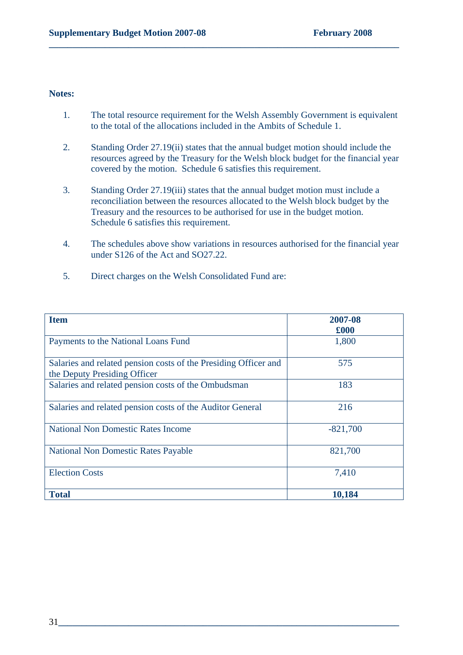#### **Notes:**

1. The total resource requirement for the Welsh Assembly Government is equivalent to the total of the allocations included in the Ambits of Schedule 1.

- 2. Standing Order 27.19(ii) states that the annual budget motion should include the resources agreed by the Treasury for the Welsh block budget for the financial year covered by the motion. Schedule 6 satisfies this requirement.
- 3. Standing Order 27.19(iii) states that the annual budget motion must include a reconciliation between the resources allocated to the Welsh block budget by the Treasury and the resources to be authorised for use in the budget motion. Schedule 6 satisfies this requirement.
- 4. The schedules above show variations in resources authorised for the financial year under S126 of the Act and SO27.22.
- 5. Direct charges on the Welsh Consolidated Fund are:

| <b>Item</b>                                                     | 2007-08    |
|-----------------------------------------------------------------|------------|
|                                                                 | £000       |
| Payments to the National Loans Fund                             | 1,800      |
|                                                                 |            |
| Salaries and related pension costs of the Presiding Officer and | 575        |
| the Deputy Presiding Officer                                    |            |
| Salaries and related pension costs of the Ombudsman             | 183        |
|                                                                 |            |
| Salaries and related pension costs of the Auditor General       | 216        |
| <b>National Non Domestic Rates Income</b>                       | $-821,700$ |
|                                                                 |            |
| <b>National Non Domestic Rates Payable</b>                      | 821,700    |
|                                                                 |            |
| <b>Election Costs</b>                                           | 7,410      |
|                                                                 |            |
| <b>Total</b>                                                    | 10,184     |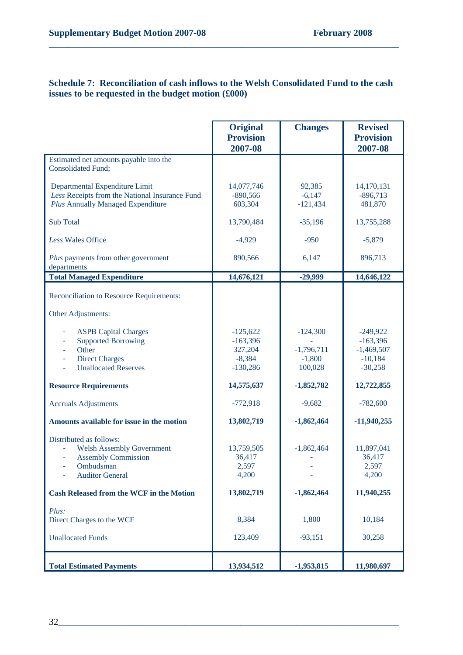#### **Schedule 7: Reconciliation of cash inflows to the Welsh Consolidated Fund to the cash issues to be requested in the budget motion (£000)**

|                                                                                                                                  | <b>Original</b><br><b>Provision</b><br>2007-08                | <b>Changes</b>                                    | <b>Revised</b><br><b>Provision</b><br>2007-08                      |
|----------------------------------------------------------------------------------------------------------------------------------|---------------------------------------------------------------|---------------------------------------------------|--------------------------------------------------------------------|
| Estimated net amounts payable into the<br><b>Consolidated Fund;</b>                                                              |                                                               |                                                   |                                                                    |
| Departmental Expenditure Limit<br>Less Receipts from the National Insurance Fund<br><b>Plus Annually Managed Expenditure</b>     | 14,077,746<br>$-890,566$<br>603,304                           | 92,385<br>$-6,147$<br>$-121,434$                  | 14,170,131<br>$-896,713$<br>481,870                                |
| <b>Sub Total</b>                                                                                                                 | 13,790,484                                                    | $-35,196$                                         | 13,755,288                                                         |
| Less Wales Office                                                                                                                | $-4,929$                                                      | $-950$                                            | $-5,879$                                                           |
| Plus payments from other government<br>departments                                                                               | 890,566                                                       | 6,147                                             | 896,713                                                            |
| <b>Total Managed Expenditure</b>                                                                                                 | 14,676,121                                                    | $-29,999$                                         | 14,646,122                                                         |
| Reconciliation to Resource Requirements:                                                                                         |                                                               |                                                   |                                                                    |
| Other Adjustments:                                                                                                               |                                                               |                                                   |                                                                    |
| <b>ASPB Capital Charges</b><br><b>Supported Borrowing</b><br>Other<br><b>Direct Charges</b><br>÷,<br><b>Unallocated Reserves</b> | $-125,622$<br>$-163,396$<br>327,204<br>$-8,384$<br>$-130,286$ | $-124,300$<br>$-1,796,711$<br>$-1,800$<br>100,028 | $-249,922$<br>$-163,396$<br>$-1,469,507$<br>$-10,184$<br>$-30,258$ |
| <b>Resource Requirements</b>                                                                                                     | 14,575,637                                                    | $-1,852,782$                                      | 12,722,855                                                         |
| <b>Accruals Adjustments</b>                                                                                                      | $-772,918$                                                    | $-9,682$                                          | $-782,600$                                                         |
| Amounts available for issue in the motion                                                                                        | 13,802,719                                                    | $-1,862,464$                                      | $-11,940,255$                                                      |
| Distributed as follows:<br><b>Welsh Assembly Government</b><br><b>Assembly Commission</b><br>Ombudsman<br><b>Auditor General</b> | 13,759,505<br>36,417<br>2,597<br>4,200                        | $-1,862,464$                                      | 11,897,041<br>36,417<br>2,597<br>4,200                             |
| <b>Cash Released from the WCF in the Motion</b>                                                                                  | 13,802,719                                                    | $-1,862,464$                                      | 11,940,255                                                         |
| Plus:<br>Direct Charges to the WCF<br><b>Unallocated Funds</b>                                                                   | 8,384<br>123,409                                              | 1,800<br>$-93,151$                                | 10,184<br>30,258                                                   |
|                                                                                                                                  | 13,934,512                                                    |                                                   | 11,980,697                                                         |
| <b>Total Estimated Payments</b>                                                                                                  |                                                               | $-1,953,815$                                      |                                                                    |